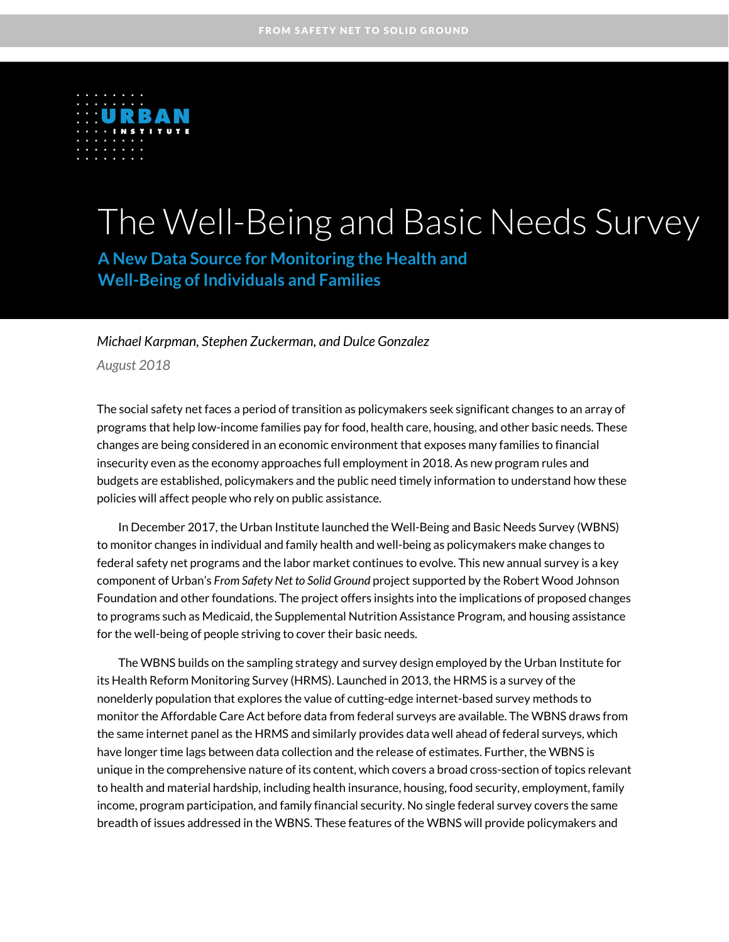

# The Well-Being and Basic Needs Survey

**A New Data Source for Monitoring the Health and Well-Being of Individuals and Families** 

*Michael Karpman, Stephen Zuckerman, and Dulce Gonzalez*

*August 2018*

The social safety net faces a period of transition as policymakers seek significant changes to an array of programs that help low-income families pay for food, health care, housing, and other basic needs. These changes are being considered in an economic environment that exposes many families to financial insecurity even as the economy approaches full employment in 2018. As new program rules and budgets are established, policymakers and the public need timely information to understand how these policies will affect people who rely on public assistance.

In December 2017, the Urban Institute launched the Well-Being and Basic Needs Survey (WBNS) to monitor changes in individual and family health and well-being as policymakers make changes to federal safety net programs and the labor market continues to evolve. This new annual survey is a key component of Urban's *From Safety Net to Solid Ground* project supported by the Robert Wood Johnson Foundation and other foundations. The project offers insights into the implications of proposed changes to programs such as Medicaid, the Supplemental Nutrition Assistance Program, and housing assistance for the well-being of people striving to cover their basic needs.

The WBNS builds on the sampling strategy and survey design employed by the Urban Institute for its Health Reform Monitoring Survey (HRMS). Launched in 2013, the HRMS is a survey of the nonelderly population that explores the value of cutting-edge internet-based survey methods to monitor the Affordable Care Act before data from federal surveys are available. The WBNS draws from the same internet panel as the HRMS and similarly provides data well ahead of federal surveys, which have longer time lags between data collection and the release of estimates. Further, the WBNS is unique in the comprehensive nature of its content, which covers a broad cross-section of topics relevant to health and material hardship, including health insurance, housing, food security, employment, family income, program participation, and family financial security. No single federal survey covers the same breadth of issues addressed in the WBNS. These features of the WBNS will provide policymakers and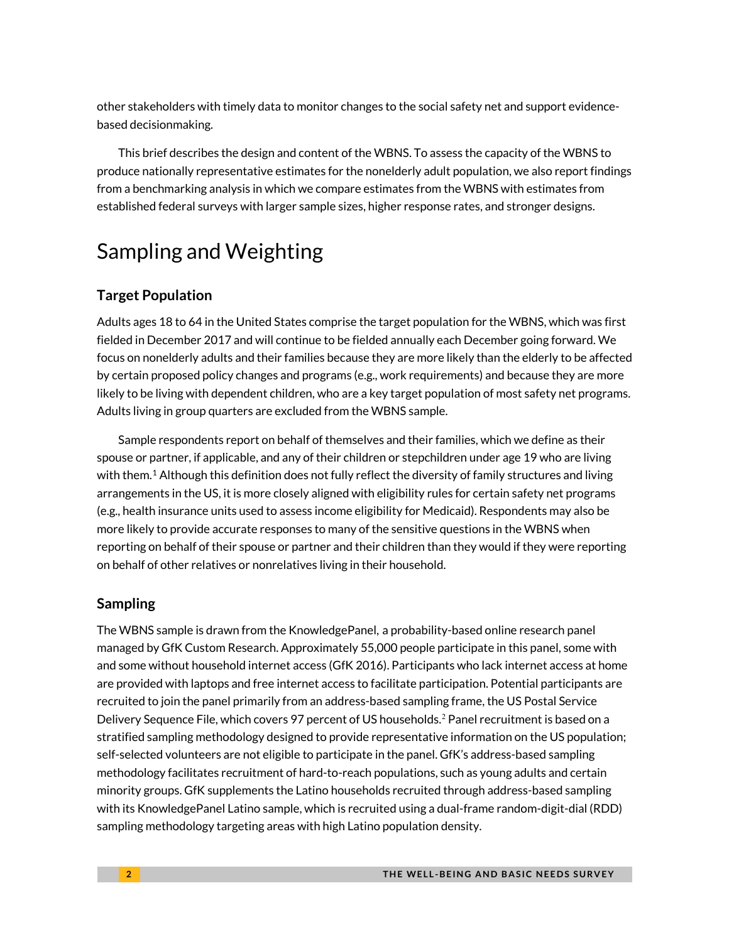other stakeholders with timely data to monitor changes to the social safety net and support evidencebased decisionmaking.

This brief describes the design and content of the WBNS. To assess the capacity of the WBNS to produce nationally representative estimates for the nonelderly adult population, we also report findings from a benchmarking analysis in which we compare estimates from the WBNS with estimates from established federal surveys with larger sample sizes, higher response rates, and stronger designs.

# Sampling and Weighting

# **Target Population**

Adults ages 18 to 64 in the United States comprise the target population for the WBNS, which was first fielded in December 2017 and will continue to be fielded annually each December going forward. We focus on nonelderly adults and their families because they are more likely than the elderly to be affected by certain proposed policy changes and programs (e.g., work requirements) and because they are more likely to be living with dependent children, who are a key target population of most safety net programs. Adults living in group quarters are excluded from the WBNS sample.

Sample respondents report on behalf of themselves and their families, which we define as their spouse or partner, if applicable, and any of their children or stepchildren under age 19 who are living with them.<sup>[1](#page-7-0)</sup> Although this definition does not fully reflect the diversity of family structures and living arrangements in the US, it is more closely aligned with eligibility rules for certain safety net programs (e.g., health insurance units used to assess income eligibility for Medicaid). Respondents may also be more likely to provide accurate responses to many of the sensitive questions in the WBNS when reporting on behalf of their spouse or partner and their children than they would if they were reporting on behalf of other relatives or nonrelatives living in their household.

# **Sampling**

The WBNS sample is drawn from the KnowledgePanel, a probability-based online research panel managed by GfK Custom Research. Approximately 55,000 people participate in this panel, some with and some without household internet access (GfK 2016). Participants who lack internet access at home are provided with laptops and free internet access to facilitate participation. Potential participants are recruited to join the panel primarily from an address-based sampling frame, the US Postal Service Delivery Sequence File, which covers 97 percent of US households.<sup>[2](#page-7-1)</sup> Panel recruitment is based on a stratified sampling methodology designed to provide representative information on the US population; self-selected volunteers are not eligible to participate in the panel. GfK's address-based sampling methodology facilitates recruitment of hard-to-reach populations, such as young adults and certain minority groups. GfK supplements the Latino households recruited through address-based sampling with its KnowledgePanel Latino sample, which is recruited using a dual-frame random-digit-dial (RDD) sampling methodology targeting areas with high Latino population density.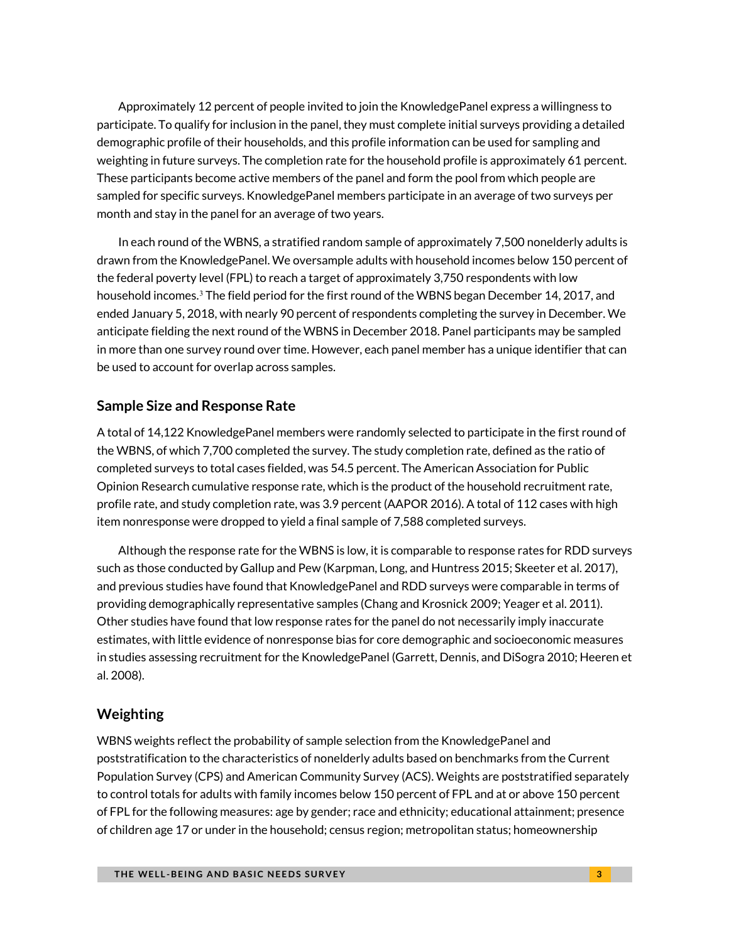Approximately 12 percent of people invited to join the KnowledgePanel express a willingness to participate. To qualify for inclusion in the panel, they must complete initial surveys providing a detailed demographic profile of their households, and this profile information can be used for sampling and weighting in future surveys. The completion rate for the household profile is approximately 61 percent. These participants become active members of the panel and form the pool from which people are sampled for specific surveys. KnowledgePanel members participate in an average of two surveys per month and stay in the panel for an average of two years.

In each round of the WBNS, a stratified random sample of approximately 7,500 nonelderly adults is drawn from the KnowledgePanel. We oversample adults with household incomes below 150 percent of the federal poverty level (FPL) to reach a target of approximately 3,750 respondents with low household incomes.<sup>[3](#page-7-2)</sup> The field period for the first round of the WBNS began December 14, 2017, and ended January 5, 2018, with nearly 90 percent of respondents completing the survey in December. We anticipate fielding the next round of the WBNS in December 2018. Panel participants may be sampled in more than one survey round over time. However, each panel member has a unique identifier that can be used to account for overlap across samples.

### **Sample Size and Response Rate**

A total of 14,122 KnowledgePanel members were randomly selected to participate in the first round of the WBNS, of which 7,700 completed the survey. The study completion rate, defined as the ratio of completed surveys to total cases fielded, was 54.5 percent. The American Association for Public Opinion Research cumulative response rate, which is the product of the household recruitment rate, profile rate, and study completion rate, was 3.9 percent (AAPOR 2016). A total of 112 cases with high item nonresponse were dropped to yield a final sample of 7,588 completed surveys.

Although the response rate for the WBNS is low, it is comparable to response rates for RDD surveys such as those conducted by Gallup and Pew (Karpman, Long, and Huntress 2015; Skeeter et al. 2017), and previous studies have found that KnowledgePanel and RDD surveys were comparable in terms of providing demographically representative samples (Chang and Krosnick 2009; Yeager et al. 2011). Other studies have found that low response rates for the panel do not necessarily imply inaccurate estimates, with little evidence of nonresponse bias for core demographic and socioeconomic measures in studies assessing recruitment for the KnowledgePanel (Garrett, Dennis, and DiSogra 2010; Heeren et al. 2008).

### **Weighting**

WBNS weights reflect the probability of sample selection from the KnowledgePanel and poststratification to the characteristics of nonelderly adults based on benchmarks from the Current Population Survey (CPS) and American Community Survey (ACS). Weights are poststratified separately to control totals for adults with family incomes below 150 percent of FPL and at or above 150 percent of FPL for the following measures: age by gender; race and ethnicity; educational attainment; presence of children age 17 or under in the household; census region; metropolitan status; homeownership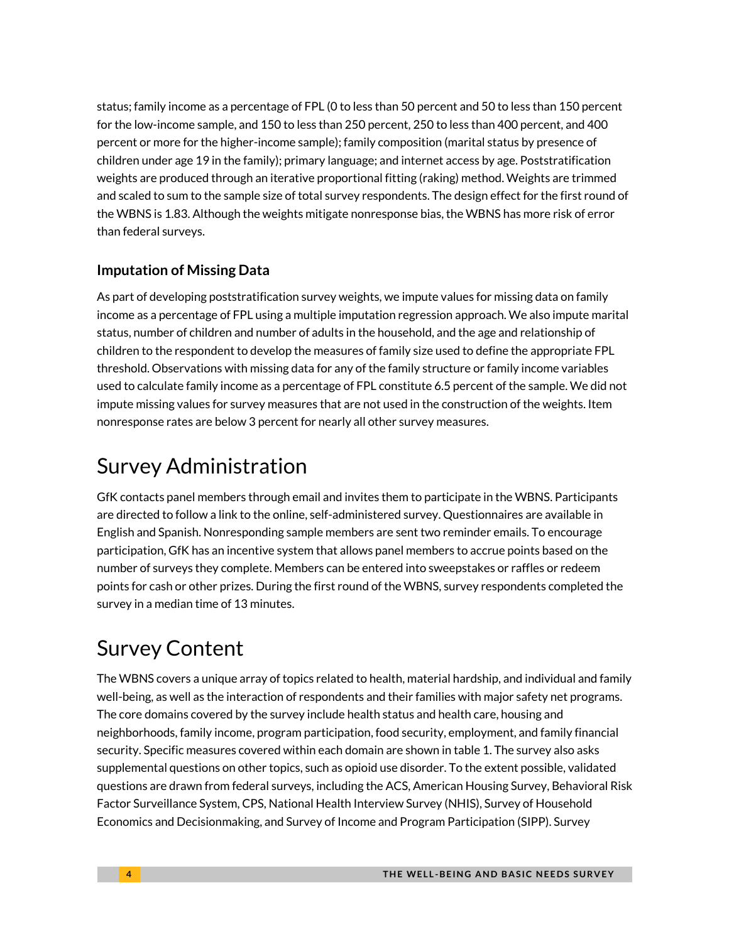status; family income as a percentage of FPL (0 to less than 50 percent and 50 to less than 150 percent for the low-income sample, and 150 to less than 250 percent, 250 to less than 400 percent, and 400 percent or more for the higher-income sample); family composition (marital status by presence of children under age 19 in the family); primary language; and internet access by age. Poststratification weights are produced through an iterative proportional fitting (raking) method. Weights are trimmed and scaled to sum to the sample size of total survey respondents. The design effect for the first round of the WBNS is 1.83. Although the weights mitigate nonresponse bias, the WBNS has more risk of error than federal surveys.

# **Imputation of Missing Data**

As part of developing poststratification survey weights, we impute values for missing data on family income as a percentage of FPL using a multiple imputation regression approach. We also impute marital status, number of children and number of adults in the household, and the age and relationship of children to the respondent to develop the measures of family size used to define the appropriate FPL threshold. Observations with missing data for any of the family structure or family income variables used to calculate family income as a percentage of FPL constitute 6.5 percent of the sample. We did not impute missing values for survey measures that are not used in the construction of the weights. Item nonresponse rates are below 3 percent for nearly all other survey measures.

# Survey Administration

GfK contacts panel members through email and invites them to participate in the WBNS. Participants are directed to follow a link to the online, self-administered survey. Questionnaires are available in English and Spanish. Nonresponding sample members are sent two reminder emails. To encourage participation, GfK has an incentive system that allows panel members to accrue points based on the number of surveys they complete. Members can be entered into sweepstakes or raffles or redeem points for cash or other prizes. During the first round of the WBNS, survey respondents completed the survey in a median time of 13 minutes.

# Survey Content

The WBNS covers a unique array of topics related to health, material hardship, and individual and family well-being, as well as the interaction of respondents and their families with major safety net programs. The core domains covered by the survey include health status and health care, housing and neighborhoods, family income, program participation, food security, employment, and family financial security. Specific measures covered within each domain are shown in table 1. The survey also asks supplemental questions on other topics, such as opioid use disorder. To the extent possible, validated questions are drawn from federal surveys, including the ACS, American Housing Survey, Behavioral Risk Factor Surveillance System, CPS, National Health Interview Survey (NHIS), Survey of Household Economics and Decisionmaking, and Survey of Income and Program Participation (SIPP). Survey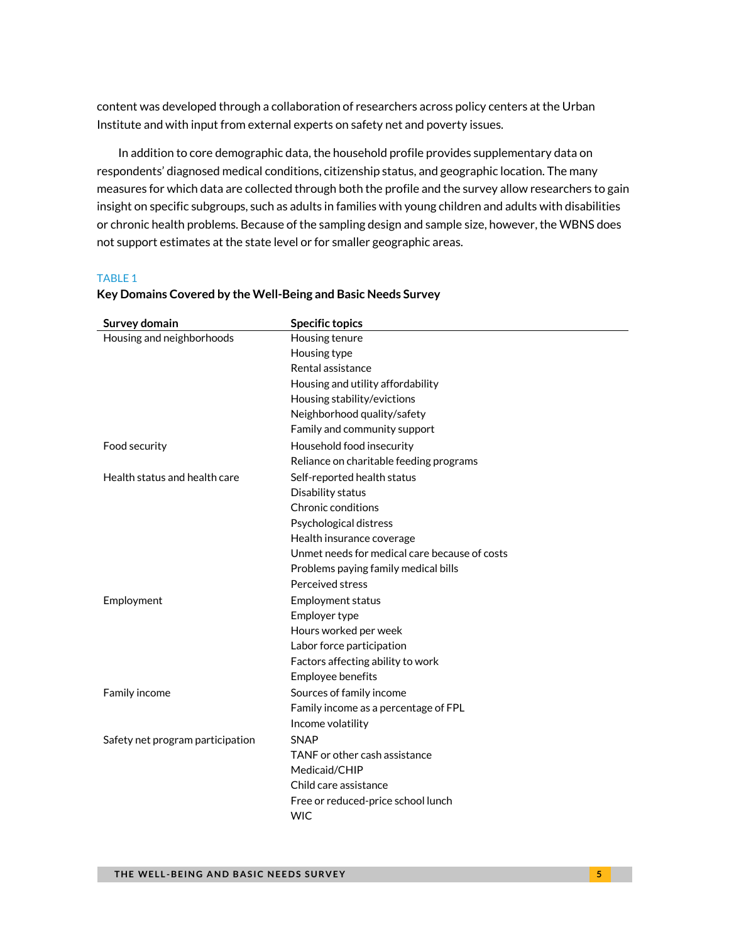content was developed through a collaboration of researchers across policy centers at the Urban Institute and with input from external experts on safety net and poverty issues.

In addition to core demographic data, the household profile provides supplementary data on respondents' diagnosed medical conditions, citizenship status, and geographic location. The many measures for which data are collected through both the profile and the survey allow researchers to gain insight on specific subgroups, such as adults in families with young children and adults with disabilities or chronic health problems. Because of the sampling design and sample size, however, the WBNS does not support estimates at the state level or for smaller geographic areas.

#### TABLE 1

| Survey domain                    | <b>Specific topics</b>                        |
|----------------------------------|-----------------------------------------------|
| Housing and neighborhoods        | Housing tenure                                |
|                                  | Housing type                                  |
|                                  | Rental assistance                             |
|                                  | Housing and utility affordability             |
|                                  | Housing stability/evictions                   |
|                                  | Neighborhood quality/safety                   |
|                                  | Family and community support                  |
| Food security                    | Household food insecurity                     |
|                                  | Reliance on charitable feeding programs       |
| Health status and health care    | Self-reported health status                   |
|                                  | Disability status                             |
|                                  | Chronic conditions                            |
|                                  | Psychological distress                        |
|                                  | Health insurance coverage                     |
|                                  | Unmet needs for medical care because of costs |
|                                  | Problems paying family medical bills          |
|                                  | Perceived stress                              |
| Employment                       | Employment status                             |
|                                  | Employer type                                 |
|                                  | Hours worked per week                         |
|                                  | Labor force participation                     |
|                                  | Factors affecting ability to work             |
|                                  | Employee benefits                             |
| Family income                    | Sources of family income                      |
|                                  | Family income as a percentage of FPL          |
|                                  | Income volatility                             |
| Safety net program participation | <b>SNAP</b>                                   |
|                                  | TANF or other cash assistance                 |
|                                  | Medicaid/CHIP                                 |
|                                  | Child care assistance                         |
|                                  | Free or reduced-price school lunch            |
|                                  | <b>WIC</b>                                    |

#### **Key Domains Covered by the Well-Being and Basic Needs Survey**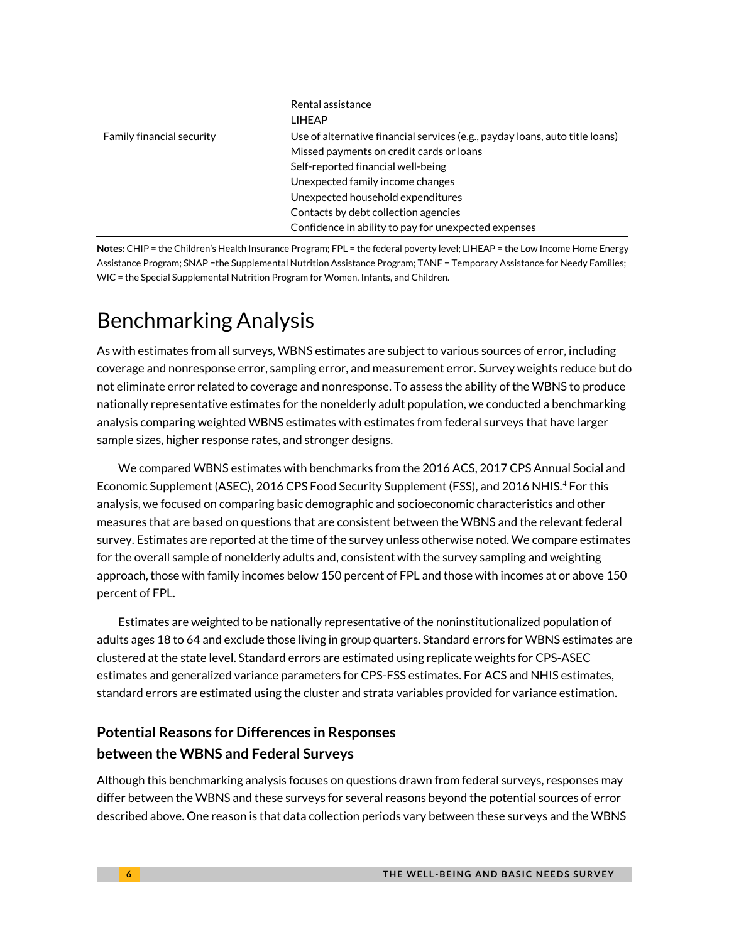|                                  | Rental assistance<br>I IHFAP                                                 |
|----------------------------------|------------------------------------------------------------------------------|
| <b>Family financial security</b> | Use of alternative financial services (e.g., payday loans, auto title loans) |
|                                  | Missed payments on credit cards or loans                                     |
|                                  | Self-reported financial well-being                                           |
|                                  | Unexpected family income changes                                             |
|                                  | Unexpected household expenditures                                            |
|                                  | Contacts by debt collection agencies                                         |
|                                  | Confidence in ability to pay for unexpected expenses                         |

**Notes:** CHIP = the Children's Health Insurance Program; FPL = the federal poverty level; LIHEAP = the Low Income Home Energy Assistance Program; SNAP =the Supplemental Nutrition Assistance Program; TANF = Temporary Assistance for Needy Families; WIC = the Special Supplemental Nutrition Program for Women, Infants, and Children.

# Benchmarking Analysis

As with estimates from all surveys, WBNS estimates are subject to various sources of error, including coverage and nonresponse error, sampling error, and measurement error. Survey weights reduce but do not eliminate error related to coverage and nonresponse. To assess the ability of the WBNS to produce nationally representative estimates for the nonelderly adult population, we conducted a benchmarking analysis comparing weighted WBNS estimates with estimates from federal surveys that have larger sample sizes, higher response rates, and stronger designs.

We compared WBNS estimates with benchmarks from the 2016 ACS, 2017 CPS Annual Social and Economic Supplement (ASEC), 2016 CPS Food Security Supplement (FSS), and 2016 NHIS. [4](#page-7-3) For this analysis, we focused on comparing basic demographic and socioeconomic characteristics and other measures that are based on questions that are consistent between the WBNS and the relevant federal survey. Estimates are reported at the time of the survey unless otherwise noted. We compare estimates for the overall sample of nonelderly adults and, consistent with the survey sampling and weighting approach, those with family incomes below 150 percent of FPL and those with incomes at or above 150 percent of FPL.

Estimates are weighted to be nationally representative of the noninstitutionalized population of adults ages 18 to 64 and exclude those living in group quarters. Standard errors for WBNS estimates are clustered at the state level. Standard errors are estimated using replicate weights for CPS-ASEC estimates and generalized variance parameters for CPS-FSS estimates. For ACS and NHIS estimates, standard errors are estimated using the cluster and strata variables provided for variance estimation.

# **Potential Reasons for Differences in Responses between the WBNS and Federal Surveys**

Although this benchmarking analysis focuses on questions drawn from federal surveys, responses may differ between the WBNS and these surveys for several reasons beyond the potential sources of error described above. One reason is that data collection periods vary between these surveys and the WBNS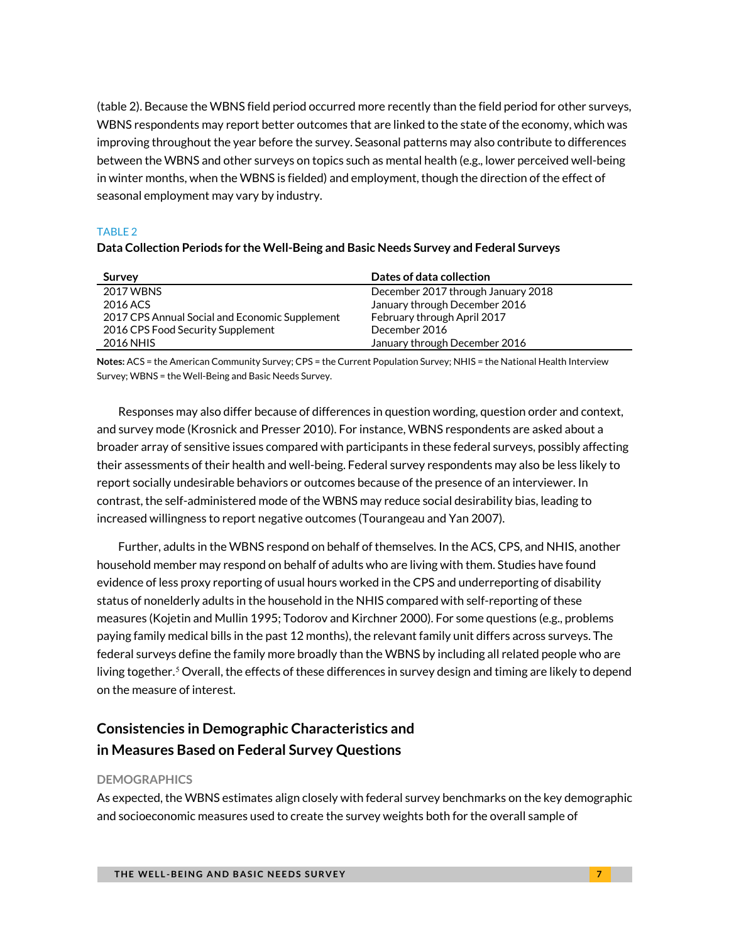(table 2). Because the WBNS field period occurred more recently than the field period for other surveys, WBNS respondents may report better outcomes that are linked to the state of the economy, which was improving throughout the year before the survey. Seasonal patterns may also contribute to differences between the WBNS and other surveys on topics such as mental health (e.g., lower perceived well-being in winter months, when the WBNS is fielded) and employment, though the direction of the effect of seasonal employment may vary by industry.

#### TABLE 2

### **Data Collection Periods for the Well-Being and Basic Needs Survey and Federal Surveys**

| Survey                                         | Dates of data collection           |
|------------------------------------------------|------------------------------------|
| 2017 WBNS                                      | December 2017 through January 2018 |
| 2016 ACS                                       | January through December 2016      |
| 2017 CPS Annual Social and Economic Supplement | February through April 2017        |
| 2016 CPS Food Security Supplement              | December 2016                      |
| 2016 NHIS                                      | January through December 2016      |

**Notes:** ACS = the American Community Survey; CPS = the Current Population Survey; NHIS = the National Health Interview Survey; WBNS = the Well-Being and Basic Needs Survey.

Responses may also differ because of differences in question wording, question order and context, and survey mode (Krosnick and Presser 2010). For instance, WBNS respondents are asked about a broader array of sensitive issues compared with participants in these federal surveys, possibly affecting their assessments of their health and well-being. Federal survey respondents may also be less likely to report socially undesirable behaviors or outcomes because of the presence of an interviewer. In contrast, the self-administered mode of the WBNS may reduce social desirability bias, leading to increased willingness to report negative outcomes (Tourangeau and Yan 2007).

Further, adults in the WBNS respond on behalf of themselves. In the ACS, CPS, and NHIS, another household member may respond on behalf of adults who are living with them. Studies have found evidence of less proxy reporting of usual hours worked in the CPS and underreporting of disability status of nonelderly adults in the household in the NHIS compared with self-reporting of these measures (Kojetin and Mullin 1995; Todorov and Kirchner 2000). For some questions (e.g., problems paying family medical bills in the past 12 months), the relevant family unit differs across surveys. The federal surveys define the family more broadly than the WBNS by including all related people who are living together.<sup>[5](#page-7-4)</sup> Overall, the effects of these differences in survey design and timing are likely to depend on the measure of interest.

# **Consistencies in Demographic Characteristics and in Measures Based on Federal Survey Questions**

#### **DEMOGRAPHICS**

As expected, the WBNS estimates align closely with federal survey benchmarks on the key demographic and socioeconomic measures used to create the survey weights both for the overall sample of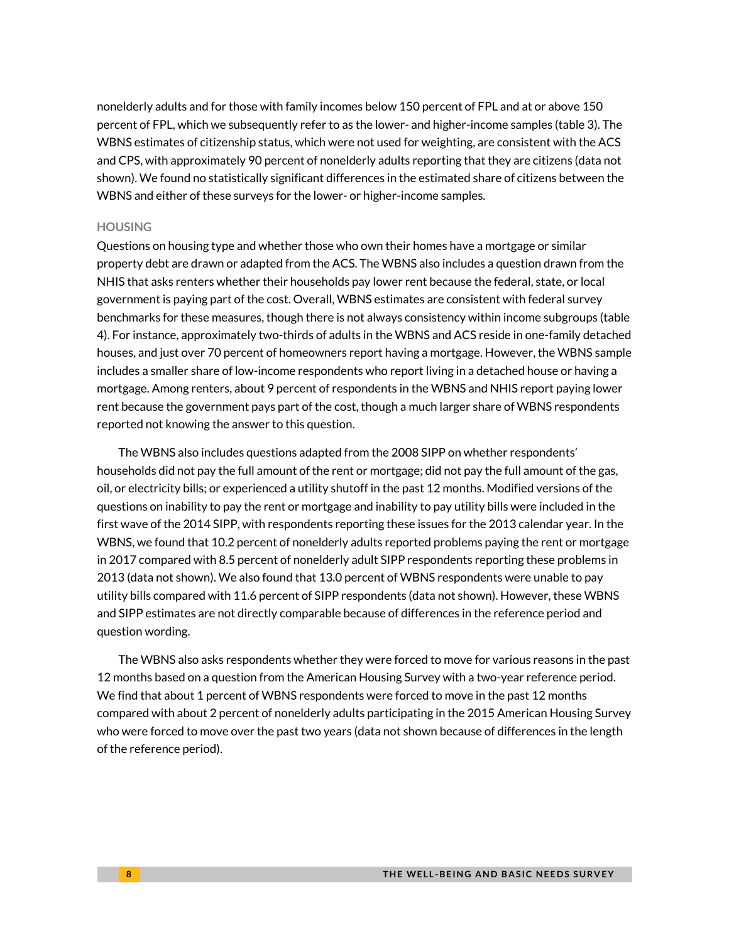<span id="page-7-0"></span>nonelderly adults and for those with family incomes below 150 percent of FPL and at or above 150 percent of FPL, which we subsequently refer to as the lower- and higher-income samples (table 3). The WBNS estimates of citizenship status, which were not used for weighting, are consistent with the ACS and CPS, with approximately 90 percent of nonelderly adults reporting that they are citizens (data not shown). We found no statistically significant differences in the estimated share of citizens between the WBNS and either of these surveys for the lower- or higher-income samples.

#### <span id="page-7-2"></span><span id="page-7-1"></span>**HOUSING**

<span id="page-7-4"></span><span id="page-7-3"></span>Questions on housing type and whether those who own their homes have a mortgage or similar property debt are drawn or adapted from the ACS. The WBNS also includes a question drawn from the NHIS that asks renters whether their households pay lower rent because the federal, state, or local government is paying part of the cost. Overall, WBNS estimates are consistent with federal survey benchmarks for these measures, though there is not always consistency within income subgroups (table 4). For instance, approximately two-thirds of adults in the WBNS and ACS reside in one-family detached houses, and just over 70 percent of homeowners report having a mortgage. However, the WBNS sample includes a smaller share of low-income respondents who report living in a detached house or having a mortgage. Among renters, about 9 percent of respondents in the WBNS and NHIS report paying lower rent because the government pays part of the cost, though a much larger share of WBNS respondents reported not knowing the answer to this question.

The WBNS also includes questions adapted from the 2008 SIPP on whether respondents' households did not pay the full amount of the rent or mortgage; did not pay the full amount of the gas, oil, or electricity bills; or experienced a utility shutoff in the past 12 months. Modified versions of the questions on inability to pay the rent or mortgage and inability to pay utility bills were included in the first wave of the 2014 SIPP, with respondents reporting these issues for the 2013 calendar year. In the WBNS, we found that 10.2 percent of nonelderly adults reported problems paying the rent or mortgage in 2017 compared with 8.5 percent of nonelderly adult SIPP respondents reporting these problems in 2013 (data not shown). We also found that 13.0 percent of WBNS respondents were unable to pay utility bills compared with 11.6 percent of SIPP respondents (data not shown). However, these WBNS and SIPP estimates are not directly comparable because of differences in the reference period and question wording.

The WBNS also asks respondents whether they were forced to move for various reasons in the past 12 months based on a question from the American Housing Survey with a two-year reference period. We find that about 1 percent of WBNS respondents were forced to move in the past 12 months compared with about 2 percent of nonelderly adults participating in the 2015 American Housing Survey who were forced to move over the past two years (data not shown because of differences in the length of the reference period).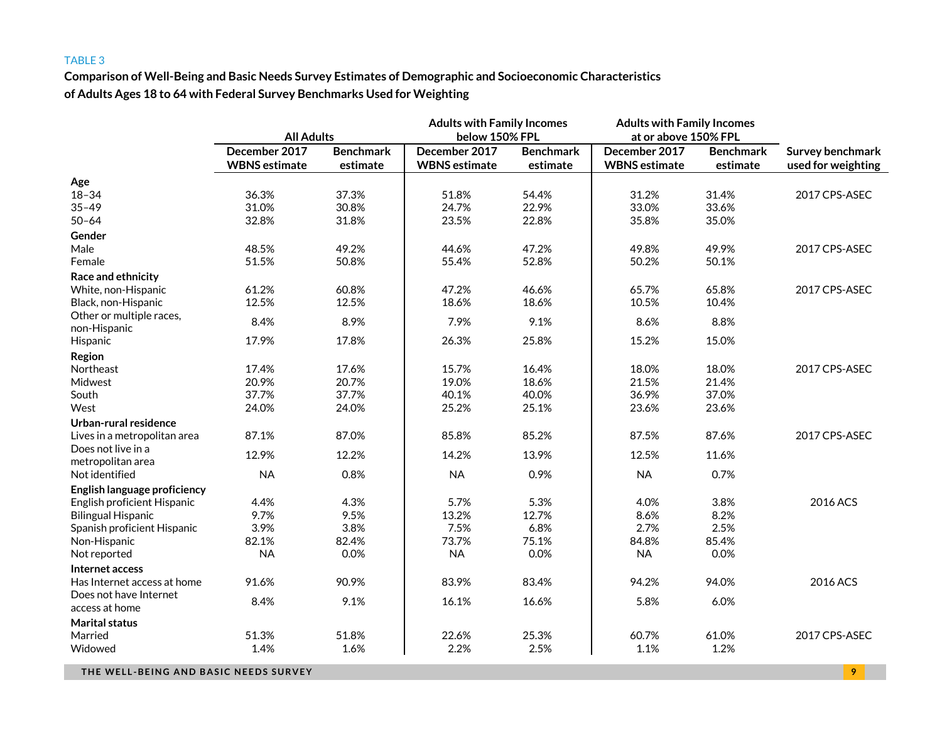**Comparison of Well-Being and Basic Needs Survey Estimates of Demographic and Socioeconomic Characteristics of Adults Ages 18 to 64 with Federal Survey Benchmarks Used for Weighting**

|                                          |                      |                  | <b>Adults with Family Incomes</b> |                  | <b>Adults with Family Incomes</b> |                  |                    |  |
|------------------------------------------|----------------------|------------------|-----------------------------------|------------------|-----------------------------------|------------------|--------------------|--|
|                                          | <b>All Adults</b>    |                  | below 150% FPL                    |                  | at or above 150% FPL              |                  |                    |  |
|                                          | December 2017        | <b>Benchmark</b> | December 2017                     | <b>Benchmark</b> | December 2017                     | <b>Benchmark</b> | Survey benchmark   |  |
|                                          | <b>WBNS</b> estimate | estimate         | <b>WBNS</b> estimate              | estimate         | <b>WBNS</b> estimate              | estimate         | used for weighting |  |
| Age                                      |                      |                  |                                   |                  |                                   |                  |                    |  |
| $18 - 34$                                | 36.3%                | 37.3%            | 51.8%                             | 54.4%            | 31.2%                             | 31.4%            | 2017 CPS-ASEC      |  |
| $35 - 49$                                | 31.0%                | 30.8%            | 24.7%                             | 22.9%            | 33.0%                             | 33.6%            |                    |  |
| $50 - 64$                                | 32.8%                | 31.8%            | 23.5%                             | 22.8%            | 35.8%                             | 35.0%            |                    |  |
| Gender                                   |                      |                  |                                   |                  |                                   |                  |                    |  |
| Male                                     | 48.5%                | 49.2%            | 44.6%                             | 47.2%            | 49.8%                             | 49.9%            | 2017 CPS-ASEC      |  |
| Female                                   | 51.5%                | 50.8%            | 55.4%                             | 52.8%            | 50.2%                             | 50.1%            |                    |  |
| Race and ethnicity                       |                      |                  |                                   |                  |                                   |                  |                    |  |
| White, non-Hispanic                      | 61.2%                | 60.8%            | 47.2%                             | 46.6%            | 65.7%                             | 65.8%            | 2017 CPS-ASEC      |  |
| Black, non-Hispanic                      | 12.5%                | 12.5%            | 18.6%                             | 18.6%            | 10.5%                             | 10.4%            |                    |  |
| Other or multiple races,<br>non-Hispanic | 8.4%                 | 8.9%             | 7.9%                              | 9.1%             | 8.6%                              | 8.8%             |                    |  |
| Hispanic                                 | 17.9%                | 17.8%            | 26.3%                             | 25.8%            | 15.2%                             | 15.0%            |                    |  |
| Region                                   |                      |                  |                                   |                  |                                   |                  |                    |  |
| Northeast                                | 17.4%                | 17.6%            | 15.7%                             | 16.4%            | 18.0%                             | 18.0%            | 2017 CPS-ASEC      |  |
| Midwest                                  | 20.9%                | 20.7%            | 19.0%                             | 18.6%            | 21.5%                             | 21.4%            |                    |  |
| South                                    | 37.7%                | 37.7%            | 40.1%                             | 40.0%            | 36.9%                             | 37.0%            |                    |  |
| West                                     | 24.0%                | 24.0%            | 25.2%                             | 25.1%            | 23.6%                             | 23.6%            |                    |  |
| Urban-rural residence                    |                      |                  |                                   |                  |                                   |                  |                    |  |
| Lives in a metropolitan area             | 87.1%                | 87.0%            | 85.8%                             | 85.2%            | 87.5%                             | 87.6%            | 2017 CPS-ASEC      |  |
| Does not live in a<br>metropolitan area  | 12.9%                | 12.2%            | 14.2%                             | 13.9%            | 12.5%                             | 11.6%            |                    |  |
| Not identified                           | <b>NA</b>            | 0.8%             | <b>NA</b>                         | 0.9%             | <b>NA</b>                         | 0.7%             |                    |  |
| English language proficiency             |                      |                  |                                   |                  |                                   |                  |                    |  |
| English proficient Hispanic              | 4.4%                 | 4.3%             | 5.7%                              | 5.3%             | 4.0%                              | 3.8%             | 2016 ACS           |  |
| <b>Bilingual Hispanic</b>                | 9.7%                 | 9.5%             | 13.2%                             | 12.7%            | 8.6%                              | 8.2%             |                    |  |
| Spanish proficient Hispanic              | 3.9%                 | 3.8%             | 7.5%                              | 6.8%             | 2.7%                              | 2.5%             |                    |  |
| Non-Hispanic                             | 82.1%                | 82.4%            | 73.7%                             | 75.1%            | 84.8%                             | 85.4%            |                    |  |
| Not reported                             | <b>NA</b>            | 0.0%             | <b>NA</b>                         | 0.0%             | <b>NA</b>                         | 0.0%             |                    |  |
| Internet access                          |                      |                  |                                   |                  |                                   |                  |                    |  |
| Has Internet access at home              | 91.6%                | 90.9%            | 83.9%                             | 83.4%            | 94.2%                             | 94.0%            | 2016 ACS           |  |
| Does not have Internet                   | 8.4%                 | 9.1%             | 16.1%                             | 16.6%            | 5.8%                              | 6.0%             |                    |  |
| access at home                           |                      |                  |                                   |                  |                                   |                  |                    |  |
| <b>Marital status</b>                    |                      |                  |                                   |                  |                                   |                  |                    |  |
| Married                                  | 51.3%                | 51.8%            | 22.6%                             | 25.3%            | 60.7%                             | 61.0%            | 2017 CPS-ASEC      |  |
| Widowed                                  | 1.4%                 | 1.6%             | 2.2%                              | 2.5%             | 1.1%                              | 1.2%             |                    |  |

**THE WELL -BEING AND BASIC NEEDS SURVEY 9**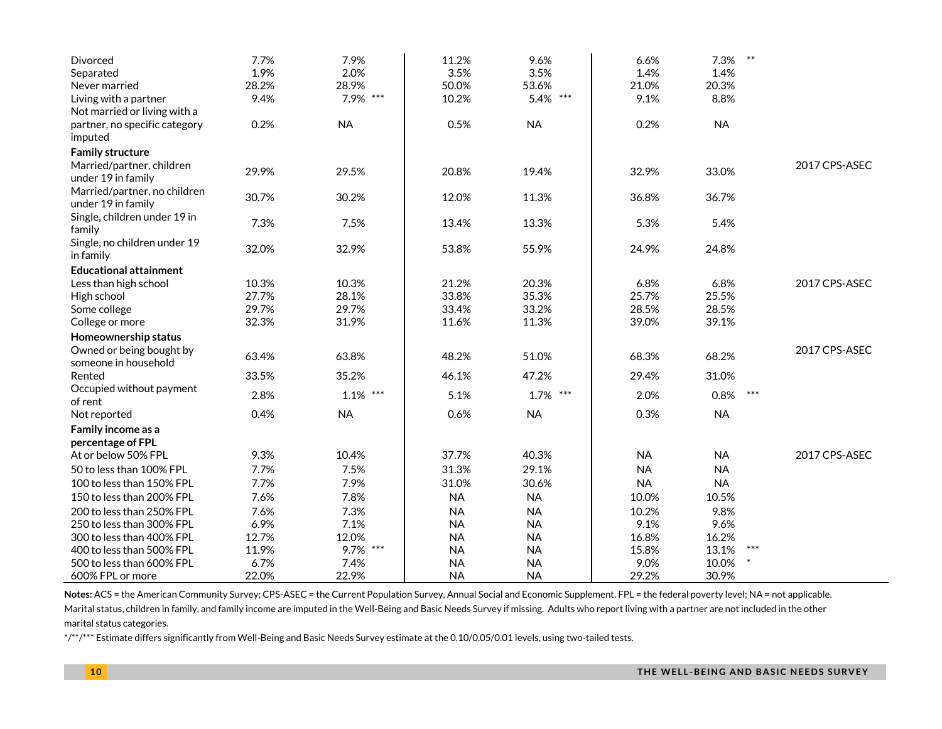| Divorced                                         | 7.7%  | 7.9%          | 11.2%     | 9.6%      | 6.6%      | $\ast\ast$<br>7.3% |               |
|--------------------------------------------------|-------|---------------|-----------|-----------|-----------|--------------------|---------------|
| Separated                                        | 1.9%  | 2.0%          | 3.5%      | 3.5%      | 1.4%      | 1.4%               |               |
| Never married                                    | 28.2% | 28.9%         | 50.0%     | 53.6%     | 21.0%     | 20.3%              |               |
| Living with a partner                            | 9.4%  | 7.9% ***      | 10.2%     | 5.4% ***  | 9.1%      | 8.8%               |               |
| Not married or living with a                     |       |               |           |           |           |                    |               |
| partner, no specific category                    | 0.2%  | <b>NA</b>     | 0.5%      | <b>NA</b> | 0.2%      | <b>NA</b>          |               |
| imputed                                          |       |               |           |           |           |                    |               |
| <b>Family structure</b>                          |       |               |           |           |           |                    |               |
| Married/partner, children                        | 29.9% | 29.5%         | 20.8%     | 19.4%     | 32.9%     | 33.0%              | 2017 CPS-ASEC |
| under 19 in family                               |       |               |           |           |           |                    |               |
| Married/partner, no children                     | 30.7% | 30.2%         | 12.0%     | 11.3%     | 36.8%     | 36.7%              |               |
| under 19 in family                               |       |               |           |           |           |                    |               |
| Single, children under 19 in<br>family           | 7.3%  | 7.5%          | 13.4%     | 13.3%     | 5.3%      | 5.4%               |               |
| Single, no children under 19                     |       |               |           |           |           |                    |               |
| in family                                        | 32.0% | 32.9%         | 53.8%     | 55.9%     | 24.9%     | 24.8%              |               |
| <b>Educational attainment</b>                    |       |               |           |           |           |                    |               |
| Less than high school                            | 10.3% | 10.3%         | 21.2%     | 20.3%     | 6.8%      | 6.8%               | 2017 CPS-ASEC |
|                                                  | 27.7% | 28.1%         | 33.8%     | 35.3%     | 25.7%     | 25.5%              |               |
| High school                                      | 29.7% | 29.7%         | 33.4%     | 33.2%     | 28.5%     | 28.5%              |               |
| Some college<br>College or more                  | 32.3% | 31.9%         | 11.6%     | 11.3%     | 39.0%     | 39.1%              |               |
|                                                  |       |               |           |           |           |                    |               |
| Homeownership status                             |       |               |           |           |           |                    | 2017 CPS-ASEC |
| Owned or being bought by<br>someone in household | 63.4% | 63.8%         | 48.2%     | 51.0%     | 68.3%     | 68.2%              |               |
| Rented                                           | 33.5% | 35.2%         | 46.1%     | 47.2%     | 29.4%     | 31.0%              |               |
| Occupied without payment                         |       |               |           |           |           |                    |               |
| of rent                                          | 2.8%  | $***$<br>1.1% | 5.1%      | 1.7% ***  | 2.0%      | $***$<br>0.8%      |               |
| Not reported                                     | 0.4%  | <b>NA</b>     | 0.6%      | <b>NA</b> | 0.3%      | <b>NA</b>          |               |
| Family income as a                               |       |               |           |           |           |                    |               |
| percentage of FPL                                |       |               |           |           |           |                    |               |
| At or below 50% FPL                              | 9.3%  | 10.4%         | 37.7%     | 40.3%     | <b>NA</b> | <b>NA</b>          | 2017 CPS-ASEC |
| 50 to less than 100% FPL                         | 7.7%  | 7.5%          | 31.3%     | 29.1%     | <b>NA</b> | <b>NA</b>          |               |
| 100 to less than 150% FPL                        | 7.7%  | 7.9%          | 31.0%     | 30.6%     | <b>NA</b> | <b>NA</b>          |               |
| 150 to less than 200% FPL                        | 7.6%  | 7.8%          | <b>NA</b> | <b>NA</b> | 10.0%     | 10.5%              |               |
| 200 to less than 250% FPL                        | 7.6%  | 7.3%          | <b>NA</b> | <b>NA</b> | 10.2%     | 9.8%               |               |
| 250 to less than 300% FPL                        | 6.9%  | 7.1%          | <b>NA</b> | <b>NA</b> | 9.1%      | 9.6%               |               |
| 300 to less than 400% FPL                        | 12.7% | 12.0%         | <b>NA</b> | <b>NA</b> | 16.8%     | 16.2%              |               |
| 400 to less than 500% FPL                        | 11.9% | 9.7% ***      | <b>NA</b> | <b>NA</b> | 15.8%     | $***$<br>13.1%     |               |
| 500 to less than 600% FPL                        | 6.7%  | 7.4%          | <b>NA</b> | <b>NA</b> | 9.0%      | 10.0%              |               |
| 600% FPL or more                                 | 22.0% | 22.9%         | <b>NA</b> | <b>NA</b> | 29.2%     | 30.9%              |               |

Notes: ACS = the American Community Survey; CPS-ASEC = the Current Population Survey, Annual Social and Economic Supplement. FPL = the federal poverty level; NA = not applicable. Marital status, children in family, and family income are imputed in the Well-Being and Basic Needs Survey if missing. Adults who report living with a partner are not included in the other marital status categories.

\*/\*\*/\*\*\* Estimate differs significantly from Well-Being and Basic Needs Survey estimate at the 0.10/0.05/0.01 levels, using two-tailed tests.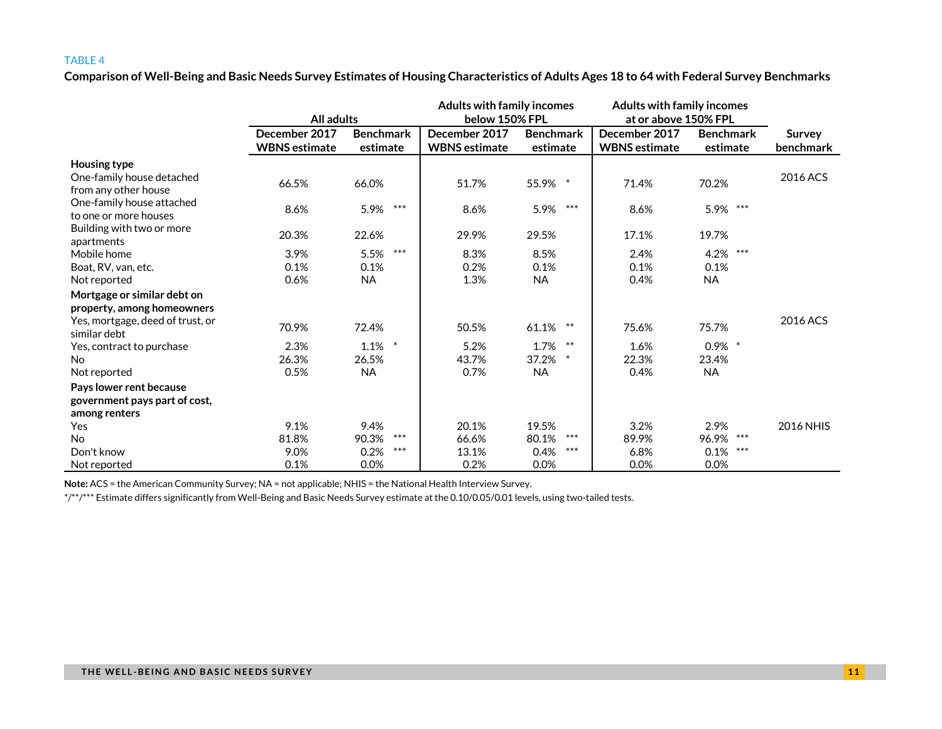**Comparison of Well-Being and Basic Needs Survey Estimates of Housing Characteristics of Adults Ages 18 to 64 with Federal Survey Benchmarks**

|                                                                                                               | All adults                            |                              | <b>Adults with family incomes</b><br>below 150% FPL |                              | <b>Adults with family incomes</b><br>at or above 150% FPL |                              |                            |
|---------------------------------------------------------------------------------------------------------------|---------------------------------------|------------------------------|-----------------------------------------------------|------------------------------|-----------------------------------------------------------|------------------------------|----------------------------|
|                                                                                                               | December 2017<br><b>WBNS</b> estimate | <b>Benchmark</b><br>estimate | December 2017<br><b>WBNS</b> estimate               | <b>Benchmark</b><br>estimate | December 2017<br><b>WBNS</b> estimate                     | <b>Benchmark</b><br>estimate | <b>Survey</b><br>benchmark |
| Housing type<br>One-family house detached<br>from any other house                                             | 66.5%                                 | 66.0%                        | 51.7%                                               | 55.9% *                      | 71.4%                                                     | 70.2%                        | 2016 ACS                   |
| One-family house attached<br>to one or more houses                                                            | 8.6%                                  | ***<br>5.9%                  | 8.6%                                                | $***$<br>5.9%                | 8.6%                                                      | 5.9% ***                     |                            |
| Building with two or more<br>apartments                                                                       | 20.3%                                 | 22.6%                        | 29.9%                                               | 29.5%                        | 17.1%                                                     | 19.7%                        |                            |
| Mobile home                                                                                                   | 3.9%                                  | $***$<br>5.5%                | 8.3%                                                | 8.5%                         | 2.4%                                                      | ***<br>4.2%                  |                            |
| Boat, RV, van, etc.                                                                                           | 0.1%                                  | 0.1%                         | 0.2%                                                | 0.1%                         | 0.1%                                                      | 0.1%                         |                            |
| Not reported                                                                                                  | 0.6%                                  | <b>NA</b>                    | 1.3%                                                | <b>NA</b>                    | 0.4%                                                      | <b>NA</b>                    |                            |
| Mortgage or similar debt on<br>property, among homeowners<br>Yes, mortgage, deed of trust, or<br>similar debt | 70.9%                                 | 72.4%                        | 50.5%                                               | 61.1% **                     | 75.6%                                                     | 75.7%                        | 2016 ACS                   |
| Yes, contract to purchase                                                                                     | 2.3%                                  | $\ast$<br>1.1%               | 5.2%                                                | 1.7% **                      | 1.6%                                                      | $0.9\%$ *                    |                            |
| <b>No</b>                                                                                                     | 26.3%                                 | 26.5%                        | 43.7%                                               | 37.2% *                      | 22.3%                                                     | 23.4%                        |                            |
| Not reported                                                                                                  | 0.5%                                  | <b>NA</b>                    | 0.7%                                                | <b>NA</b>                    | 0.4%                                                      | <b>NA</b>                    |                            |
| Pays lower rent because<br>government pays part of cost,                                                      |                                       |                              |                                                     |                              |                                                           |                              |                            |
| among renters                                                                                                 |                                       |                              |                                                     |                              |                                                           |                              |                            |
| Yes                                                                                                           | 9.1%                                  | 9.4%                         | 20.1%                                               | 19.5%                        | 3.2%                                                      | 2.9%                         | 2016 NHIS                  |
| <b>No</b>                                                                                                     | 81.8%                                 | $***$<br>90.3%               | 66.6%                                               | $***$<br>80.1%               | 89.9%                                                     | 96.9% ***                    |                            |
| Don't know                                                                                                    | 9.0%                                  | $***$<br>0.2%                | 13.1%                                               | $***$<br>0.4%                | 6.8%                                                      | ***<br>0.1%                  |                            |
| Not reported                                                                                                  | 0.1%                                  | 0.0%                         | 0.2%                                                | 0.0%                         | 0.0%                                                      | 0.0%                         |                            |

**Note:** ACS = the American Community Survey; NA = not applicable; NHIS = the National Health Interview Survey.

\*/\*\*/\*\*\* Estimate differs significantly from Well-Being and Basic Needs Survey estimate at the 0.10/0.05/0.01 levels, using two-tailed tests.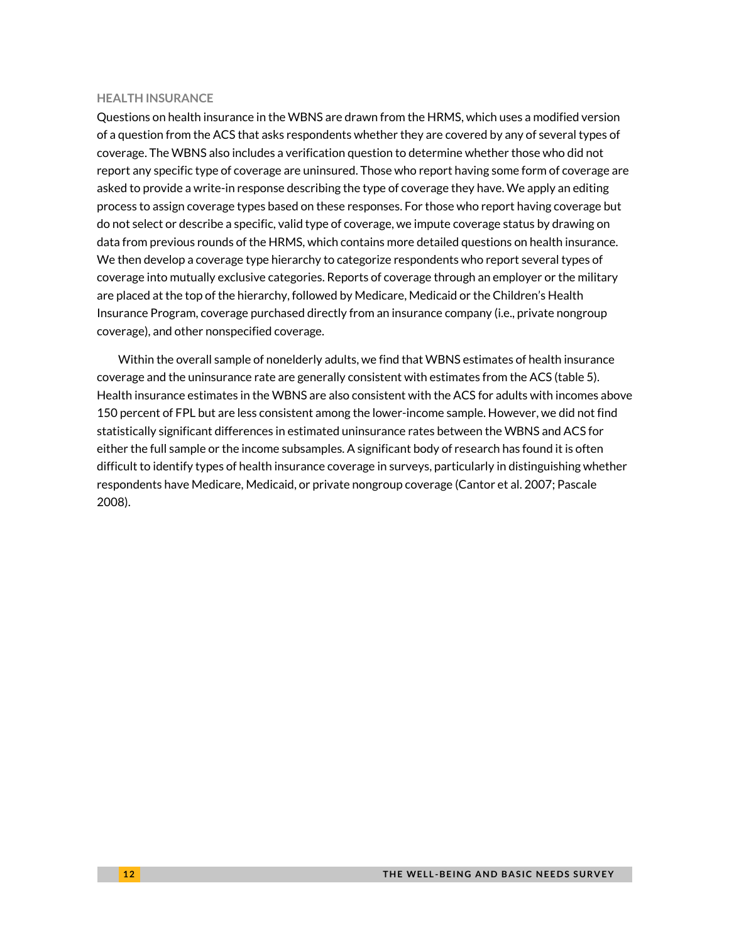#### **HEALTH INSURANCE**

Questions on health insurance in the WBNS are drawn from the HRMS, which uses a modified version of a question from the ACS that asks respondents whether they are covered by any of several types of coverage. The WBNS also includes a verification question to determine whether those who did not report any specific type of coverage are uninsured. Those who report having some form of coverage are asked to provide a write-in response describing the type of coverage they have. We apply an editing process to assign coverage types based on these responses. For those who report having coverage but do not select or describe a specific, valid type of coverage, we impute coverage status by drawing on data from previous rounds of the HRMS, which contains more detailed questions on health insurance. We then develop a coverage type hierarchy to categorize respondents who report several types of coverage into mutually exclusive categories. Reports of coverage through an employer or the military are placed at the top of the hierarchy, followed by Medicare, Medicaid or the Children's Health Insurance Program, coverage purchased directly from an insurance company (i.e., private nongroup coverage), and other nonspecified coverage.

Within the overall sample of nonelderly adults, we find that WBNS estimates of health insurance coverage and the uninsurance rate are generally consistent with estimates from the ACS (table 5). Health insurance estimates in the WBNS are also consistent with the ACS for adults with incomes above 150 percent of FPL but are less consistent among the lower-income sample. However, we did not find statistically significant differences in estimated uninsurance rates between the WBNS and ACS for either the full sample or the income subsamples. A significant body of research has found it is often difficult to identify types of health insurance coverage in surveys, particularly in distinguishing whether respondents have Medicare, Medicaid, or private nongroup coverage (Cantor et al. 2007; Pascale 2008).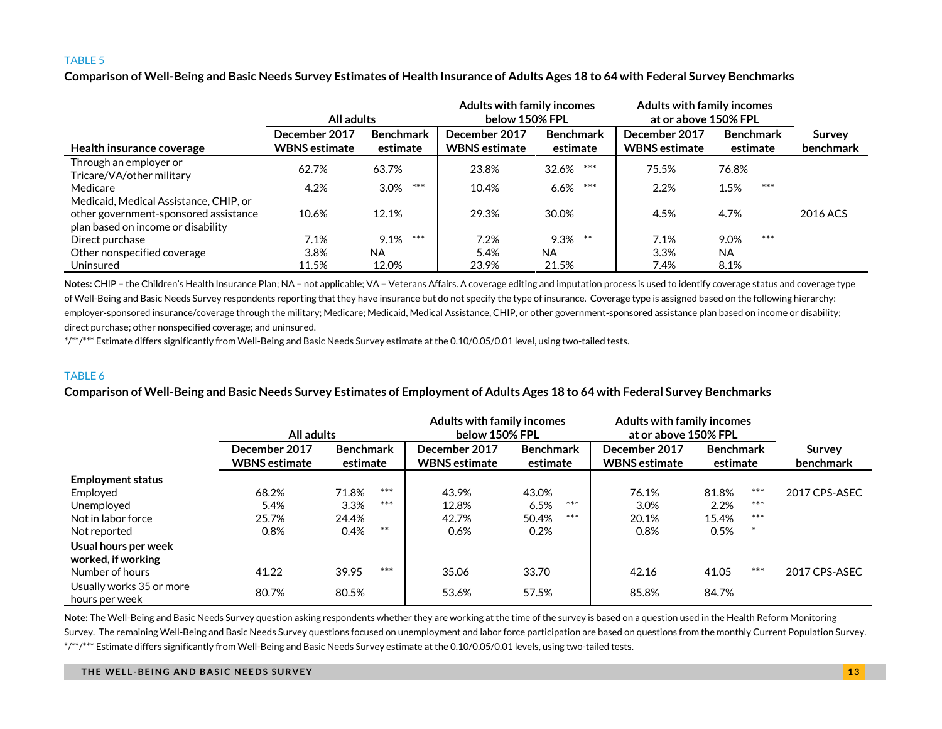**Comparison of Well-Being and Basic Needs Survey Estimates of Health Insurance of Adults Ages 18 to 64 with Federal Survey Benchmarks**

|                                                     | All adults                            |                              | <b>Adults with family incomes</b><br>below 150% FPL |                              | <b>Adults with family incomes</b><br>at or above 150% FPL |                              |                            |
|-----------------------------------------------------|---------------------------------------|------------------------------|-----------------------------------------------------|------------------------------|-----------------------------------------------------------|------------------------------|----------------------------|
| Health insurance coverage                           | December 2017<br><b>WBNS</b> estimate | <b>Benchmark</b><br>estimate | December 2017<br><b>WBNS</b> estimate               | <b>Benchmark</b><br>estimate | December 2017<br><b>WBNS</b> estimate                     | <b>Benchmark</b><br>estimate | <b>Survey</b><br>benchmark |
| Through an employer or<br>Tricare/VA/other military | 62.7%                                 | 63.7%                        | 23.8%                                               | ***<br>32.6%                 | 75.5%                                                     | 76.8%                        |                            |
| Medicare                                            | 4.2%                                  | ***<br>3.0%                  | 10.4%                                               | $***$<br>6.6%                | 2.2%                                                      | $***$<br>1.5%                |                            |
| Medicaid, Medical Assistance, CHIP, or              |                                       |                              |                                                     |                              |                                                           |                              |                            |
| other government-sponsored assistance               | 10.6%                                 | 12.1%                        | 29.3%                                               | 30.0%                        | 4.5%                                                      | 4.7%                         | 2016 ACS                   |
| plan based on income or disability                  |                                       |                              |                                                     |                              |                                                           |                              |                            |
| Direct purchase                                     | 7.1%                                  | ***<br>9.1%                  | 7.2%                                                | $9.3\%$ **                   | 7.1%                                                      | ***<br>9.0%                  |                            |
| Other nonspecified coverage                         | 3.8%                                  | NA.                          | 5.4%                                                | <b>NA</b>                    | 3.3%                                                      | <b>NA</b>                    |                            |
| Uninsured                                           | 11.5%                                 | 12.0%                        | 23.9%                                               | 21.5%                        | 7.4%                                                      | 8.1%                         |                            |

Notes: CHIP = the Children's Health Insurance Plan; NA = not applicable; VA = Veterans Affairs. A coverage editing and imputation process is used to identify coverage status and coverage type of Well-Being and Basic Needs Survey respondents reporting that they have insurance but do not specify the type of insurance. Coverage type is assigned based on the following hierarchy: employer-sponsored insurance/coverage through the military; Medicare; Medicaid, Medical Assistance, CHIP, or other government-sponsored assistance plan based on income or disability; direct purchase; other nonspecified coverage; and uninsured.

\*/\*\*/\*\*\* Estimate differs significantly from Well-Being and Basic Needs Survey estimate at the 0.10/0.05/0.01 level, using two-tailed tests.

#### TABLE 6

### **Comparison of Well-Being and Basic Needs Survey Estimates of Employment of Adults Ages 18 to 64 with Federal Survey Benchmarks**

|                                            | All adults                            |                       |       | <b>Adults with family incomes</b><br>below 150% FPL |                              | <b>Adults with family incomes</b><br>at or above 150% FPL |                                       |                              |       |                            |
|--------------------------------------------|---------------------------------------|-----------------------|-------|-----------------------------------------------------|------------------------------|-----------------------------------------------------------|---------------------------------------|------------------------------|-------|----------------------------|
|                                            | December 2017<br><b>WBNS</b> estimate | Benchmark<br>estimate |       | December 2017<br><b>WBNS</b> estimate               | <b>Benchmark</b><br>estimate |                                                           | December 2017<br><b>WBNS</b> estimate | <b>Benchmark</b><br>estimate |       | <b>Survey</b><br>benchmark |
| <b>Employment status</b>                   |                                       |                       |       |                                                     |                              |                                                           |                                       |                              |       |                            |
| Employed                                   | 68.2%                                 | 71.8%                 | $***$ | 43.9%                                               | 43.0%                        |                                                           | 76.1%                                 | 81.8%                        | ***   | 2017 CPS-ASEC              |
| Unemployed                                 | 5.4%                                  | 3.3%                  | $***$ | 12.8%                                               | 6.5%                         | ***                                                       | 3.0%                                  | 2.2%                         | $***$ |                            |
| Not in labor force                         | 25.7%                                 | 24.4%                 |       | 42.7%                                               | 50.4%                        | $***$                                                     | 20.1%                                 | 15.4%                        | $***$ |                            |
| Not reported                               | 0.8%                                  | 0.4%                  | $***$ | 0.6%                                                | 0.2%                         |                                                           | 0.8%                                  | 0.5%                         |       |                            |
| Usual hours per week<br>worked, if working |                                       |                       |       |                                                     |                              |                                                           |                                       |                              |       |                            |
| Number of hours                            | 41.22                                 | 39.95                 | $***$ | 35.06                                               | 33.70                        |                                                           | 42.16                                 | 41.05                        | $***$ | 2017 CPS-ASEC              |
| Usually works 35 or more<br>hours per week | 80.7%                                 | 80.5%                 |       | 53.6%                                               | 57.5%                        |                                                           | 85.8%                                 | 84.7%                        |       |                            |

**Note:** The Well-Being and Basic Needs Survey question asking respondents whether they are working at the time of the survey is based on a question used in the Health Reform Monitoring Survey. The remaining Well-Being and Basic Needs Survey questions focused on unemployment and labor force participation are based on questions from the monthly Current Population Survey. \*/\*\*/\*\*\* Estimate differs significantly from Well-Being and Basic Needs Survey estimate at the 0.10/0.05/0.01 levels, using two-tailed tests.

#### **THE WELL -BEING AND BASIC NEEDS SURVEY 1 3**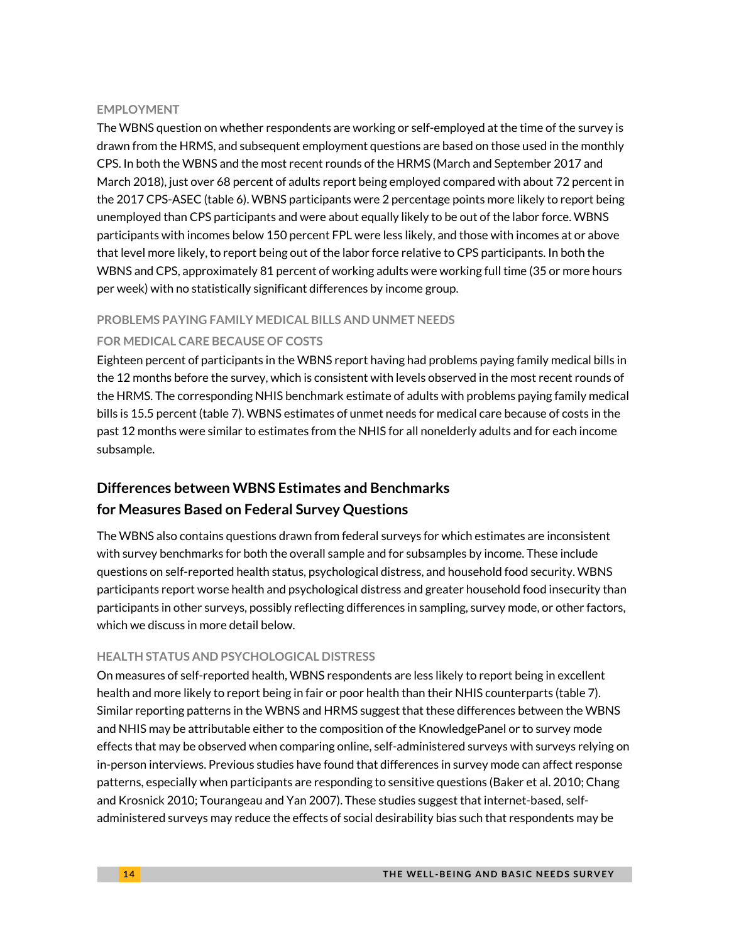#### **EMPLOYMENT**

The WBNS question on whether respondents are working or self-employed at the time of the survey is drawn from the HRMS, and subsequent employment questions are based on those used in the monthly CPS. In both the WBNS and the most recent rounds of the HRMS (March and September 2017 and March 2018), just over 68 percent of adults report being employed compared with about 72 percent in the 2017 CPS-ASEC (table 6). WBNS participants were 2 percentage points more likely to report being unemployed than CPS participants and were about equally likely to be out of the labor force. WBNS participants with incomes below 150 percent FPL were less likely, and those with incomes at or above that level more likely, to report being out of the labor force relative to CPS participants. In both the WBNS and CPS, approximately 81 percent of working adults were working full time (35 or more hours per week) with no statistically significant differences by income group.

#### **PROBLEMS PAYING FAMILY MEDICAL BILLS AND UNMET NEEDS**

### **FOR MEDICAL CARE BECAUSE OF COSTS**

Eighteen percent of participants in the WBNS report having had problems paying family medical bills in the 12 months before the survey, which is consistent with levels observed in the most recent rounds of the HRMS. The corresponding NHIS benchmark estimate of adults with problems paying family medical bills is 15.5 percent (table 7). WBNS estimates of unmet needs for medical care because of costs in the past 12 months were similar to estimates from the NHIS for all nonelderly adults and for each income subsample.

# **Differences between WBNS Estimates and Benchmarks for Measures Based on Federal Survey Questions**

The WBNS also contains questions drawn from federal surveys for which estimates are inconsistent with survey benchmarks for both the overall sample and for subsamples by income. These include questions on self-reported health status, psychological distress, and household food security. WBNS participants report worse health and psychological distress and greater household food insecurity than participants in other surveys, possibly reflecting differences in sampling, survey mode, or other factors, which we discuss in more detail below.

### **HEALTH STATUS AND PSYCHOLOGICAL DISTRESS**

On measures of self-reported health, WBNS respondents are less likely to report being in excellent health and more likely to report being in fair or poor health than their NHIS counterparts (table 7). Similar reporting patterns in the WBNS and HRMS suggest that these differences between the WBNS and NHIS may be attributable either to the composition of the KnowledgePanel or to survey mode effects that may be observed when comparing online, self-administered surveys with surveys relying on in-person interviews. Previous studies have found that differences in survey mode can affect response patterns, especially when participants are responding to sensitive questions (Baker et al. 2010; Chang and Krosnick 2010; Tourangeau and Yan 2007). These studies suggest that internet-based, selfadministered surveys may reduce the effects of social desirability bias such that respondents may be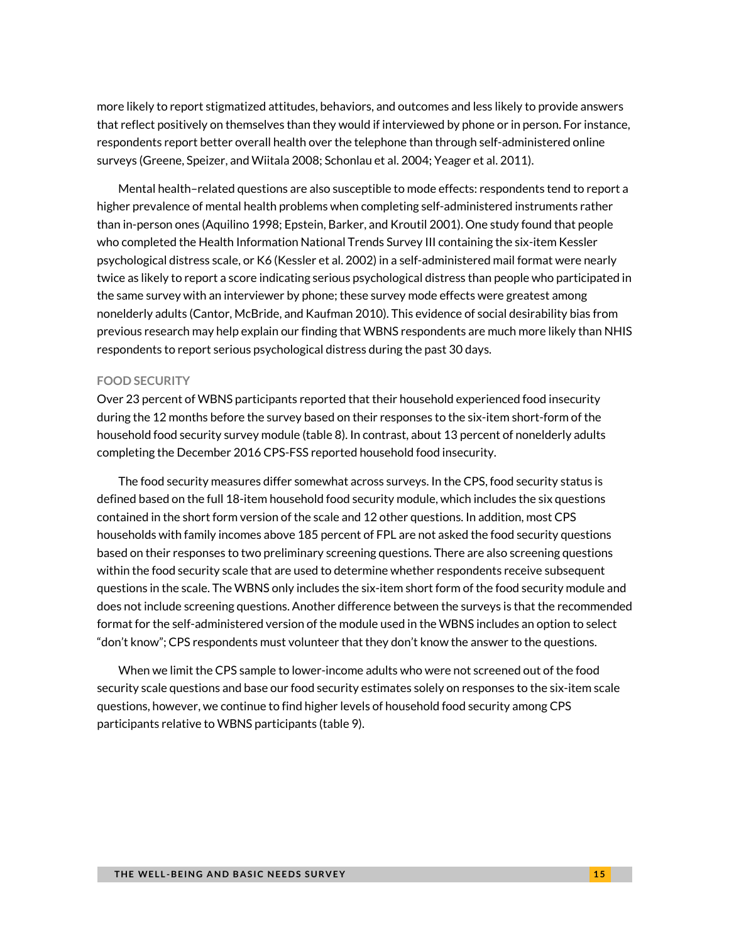more likely to report stigmatized attitudes, behaviors, and outcomes and less likely to provide answers that reflect positively on themselves than they would if interviewed by phone or in person. For instance, respondents report better overall health over the telephone than through self-administered online surveys (Greene, Speizer, and Wiitala 2008; Schonlau et al. 2004; Yeager et al. 2011).

Mental health–related questions are also susceptible to mode effects: respondents tend to report a higher prevalence of mental health problems when completing self-administered instruments rather than in-person ones (Aquilino 1998; Epstein, Barker, and Kroutil 2001). One study found that people who completed the Health Information National Trends Survey III containing the six-item Kessler psychological distress scale, or K6 (Kessler et al. 2002) in a self-administered mail format were nearly twice as likely to report a score indicating serious psychological distress than people who participated in the same survey with an interviewer by phone; these survey mode effects were greatest among nonelderly adults (Cantor, McBride, and Kaufman 2010). This evidence of social desirability bias from previous research may help explain our finding that WBNS respondents are much more likely than NHIS respondents to report serious psychological distress during the past 30 days.

#### **FOOD SECURITY**

Over 23 percent of WBNS participants reported that their household experienced food insecurity during the 12 months before the survey based on their responses to the six-item short-form of the household food security survey module (table 8). In contrast, about 13 percent of nonelderly adults completing the December 2016 CPS-FSS reported household food insecurity.

The food security measures differ somewhat across surveys. In the CPS, food security status is defined based on the full 18-item household food security module, which includes the six questions contained in the short form version of the scale and 12 other questions. In addition, most CPS households with family incomes above 185 percent of FPL are not asked the food security questions based on their responses to two preliminary screening questions. There are also screening questions within the food security scale that are used to determine whether respondents receive subsequent questions in the scale. The WBNS only includes the six-item short form of the food security module and does not include screening questions. Another difference between the surveys is that the recommended format for the self-administered version of the module used in the WBNS includes an option to select "don't know"; CPS respondents must volunteer that they don't know the answer to the questions.

When we limit the CPS sample to lower-income adults who were not screened out of the food security scale questions and base our food security estimates solely on responses to the six-item scale questions, however, we continue to find higher levels of household food security among CPS participants relative to WBNS participants (table 9).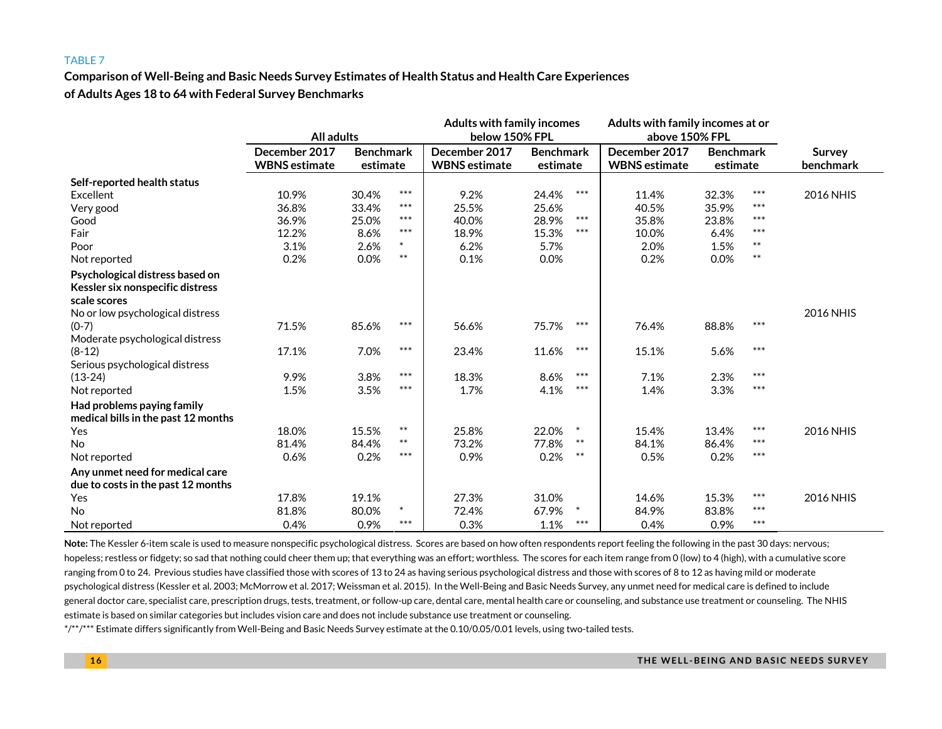**Comparison of Well-Being and Basic Needs Survey Estimates of Health Status and Health Care Experiences of Adults Ages 18 to 64 with Federal Survey Benchmarks**

|                                     |                      |                  |        | <b>Adults with family incomes</b> |                  | Adults with family incomes at or |                    |       |           |
|-------------------------------------|----------------------|------------------|--------|-----------------------------------|------------------|----------------------------------|--------------------|-------|-----------|
|                                     | All adults           |                  |        | below 150% FPL                    |                  | above 150% FPL                   |                    |       |           |
|                                     | December 2017        | <b>Benchmark</b> |        | December 2017                     | <b>Benchmark</b> | December 2017                    | <b>Benchmark</b>   |       | Survey    |
|                                     | <b>WBNS</b> estimate | estimate         |        | <b>WBNS</b> estimate              | estimate         | <b>WBNS</b> estimate             | estimate           |       | benchmark |
| Self-reported health status         |                      |                  |        |                                   |                  |                                  |                    |       |           |
| Excellent                           | 10.9%                | 30.4%            | $***$  | 9.2%                              | $***$<br>24.4%   | 11.4%                            | 32.3%              | $***$ | 2016 NHIS |
| Very good                           | 36.8%                | 33.4%            | $***$  | 25.5%                             | 25.6%            | 40.5%                            | 35.9%              | $***$ |           |
| Good                                | 36.9%                | 25.0%            | $***$  | 40.0%                             | $***$<br>28.9%   | 35.8%                            | 23.8%              | $***$ |           |
| Fair                                | 12.2%                | 8.6%             | $***$  | 18.9%                             | $***$<br>15.3%   | 10.0%                            | 6.4%               | $***$ |           |
| Poor                                | 3.1%                 | 2.6%             |        | 6.2%                              | 5.7%             | 2.0%                             | $***$<br>1.5%      |       |           |
| Not reported                        | 0.2%                 | 0.0%             | $***$  | 0.1%                              | 0.0%             | 0.2%                             | $\ast\ast$<br>0.0% |       |           |
| Psychological distress based on     |                      |                  |        |                                   |                  |                                  |                    |       |           |
| Kessler six nonspecific distress    |                      |                  |        |                                   |                  |                                  |                    |       |           |
| scale scores                        |                      |                  |        |                                   |                  |                                  |                    |       |           |
| No or low psychological distress    |                      |                  |        |                                   |                  |                                  |                    |       | 2016 NHIS |
| $(0-7)$                             | 71.5%                | 85.6%            | $***$  | 56.6%                             | $***$<br>75.7%   | 76.4%                            | 88.8%              | $***$ |           |
| Moderate psychological distress     |                      |                  |        |                                   |                  |                                  |                    |       |           |
| $(8-12)$                            | 17.1%                | 7.0%             | $***$  | 23.4%                             | $***$<br>11.6%   | 15.1%                            | 5.6%               | $***$ |           |
| Serious psychological distress      |                      |                  |        |                                   |                  |                                  |                    |       |           |
| $(13-24)$                           | 9.9%                 | 3.8%             | $***$  | 18.3%                             | $***$<br>8.6%    | 7.1%                             | 2.3%               | $***$ |           |
| Not reported                        | 1.5%                 | 3.5%             | $***$  | 1.7%                              | $***$<br>4.1%    | 1.4%                             | 3.3%               | $***$ |           |
| Had problems paying family          |                      |                  |        |                                   |                  |                                  |                    |       |           |
| medical bills in the past 12 months |                      |                  |        |                                   |                  |                                  |                    |       |           |
| Yes                                 | 18.0%                | 15.5%            | $***$  | 25.8%                             | $\ast$<br>22.0%  | 15.4%                            | 13.4%              | $***$ | 2016 NHIS |
| No                                  | 81.4%                | 84.4%            | $***$  | 73.2%                             | $***$<br>77.8%   | 84.1%                            | 86.4%              | $***$ |           |
| Not reported                        | 0.6%                 | 0.2%             | $***$  | 0.9%                              | $***$<br>0.2%    | 0.5%                             | 0.2%               | $***$ |           |
| Any unmet need for medical care     |                      |                  |        |                                   |                  |                                  |                    |       |           |
| due to costs in the past 12 months  |                      |                  |        |                                   |                  |                                  |                    |       |           |
| Yes                                 | 17.8%                | 19.1%            |        | 27.3%                             | 31.0%            | 14.6%                            | 15.3%              | $***$ | 2016 NHIS |
| <b>No</b>                           | 81.8%                | 80.0%            | $\ast$ | 72.4%                             | $\ast$<br>67.9%  | 84.9%                            | 83.8%              | $***$ |           |
| Not reported                        | 0.4%                 | 0.9%             | $***$  | 0.3%                              | $***$<br>1.1%    | 0.4%                             | 0.9%               | $***$ |           |

Note: The Kessler 6-item scale is used to measure nonspecific psychological distress. Scores are based on how often respondents report feeling the following in the past 30 days: nervous; hopeless; restless or fidgety; so sad that nothing could cheer them up; that everything was an effort; worthless. The scores for each item range from 0 (low) to 4 (high), with a cumulative score ranging from 0 to 24. Previous studies have classified those with scores of 13 to 24 as having serious psychological distress and those with scores of 8 to 12 as having mild or moderate psychological distress (Kessler et al. 2003; McMorrow et al. 2017; Weissman et al. 2015). In the Well-Being and Basic Needs Survey, any unmet need for medical care is defined to include general doctor care, specialist care, prescription drugs, tests, treatment, or follow-up care, dental care, mental health care or counseling, and substance use treatment or counseling. The NHIS estimate is based on similar categories but includes vision care and does not include substance use treatment or counseling.

\*/\*\*/\*\*\* Estimate differs significantly from Well-Being and Basic Needs Survey estimate at the 0.10/0.05/0.01 levels, using two-tailed tests.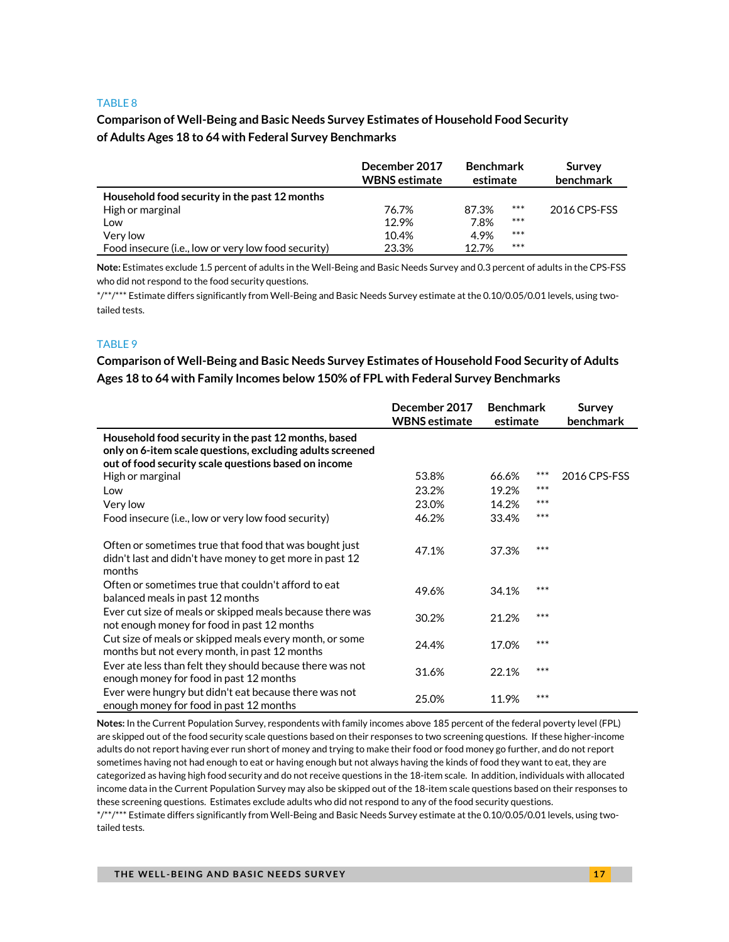### **Comparison of Well-Being and Basic Needs Survey Estimates of Household Food Security of Adults Ages 18 to 64 with Federal Survey Benchmarks**

|                                                     | December 2017<br><b>WBNS</b> estimate | <b>Benchmark</b><br>estimate |       | Survey<br>benchmark |  |
|-----------------------------------------------------|---------------------------------------|------------------------------|-------|---------------------|--|
| Household food security in the past 12 months       |                                       |                              |       |                     |  |
| High or marginal                                    | 76.7%                                 | 87.3%                        | $***$ | 2016 CPS-FSS        |  |
| Low                                                 | 12.9%                                 | 7.8%                         | $***$ |                     |  |
| Very low                                            | 10.4%                                 | 4.9%                         | $***$ |                     |  |
| Food insecure (i.e., low or very low food security) | 23.3%                                 | 127%                         | $***$ |                     |  |

**Note:** Estimates exclude 1.5 percent of adults in the Well-Being and Basic Needs Survey and 0.3 percent of adults in the CPS-FSS who did not respond to the food security questions.

\*/\*\*/\*\*\* Estimate differs significantly from Well-Being and Basic Needs Survey estimate at the 0.10/0.05/0.01 levels, using twotailed tests.

#### TABLE 9

**Comparison of Well-Being and Basic Needs Survey Estimates of Household Food Security of Adults Ages 18 to 64 with Family Incomes below 150% of FPL with Federal Survey Benchmarks**

|                                                                                                                                                                           | December 2017<br><b>WBNS</b> estimate | <b>Benchmark</b><br>estimate |     | Survey<br>benchmark |
|---------------------------------------------------------------------------------------------------------------------------------------------------------------------------|---------------------------------------|------------------------------|-----|---------------------|
| Household food security in the past 12 months, based<br>only on 6-item scale questions, excluding adults screened<br>out of food security scale questions based on income |                                       |                              |     |                     |
| High or marginal                                                                                                                                                          | 53.8%                                 | 66.6%                        | *** | 2016 CPS-FSS        |
| Low                                                                                                                                                                       | 23.2%                                 | 19.2%                        | *** |                     |
| Very low                                                                                                                                                                  | 23.0%                                 | 14.2%                        | *** |                     |
| Food insecure (i.e., low or very low food security)                                                                                                                       | 46.2%                                 | 33.4%                        | *** |                     |
| Often or sometimes true that food that was bought just<br>didn't last and didn't have money to get more in past 12<br>months                                              | 47.1%                                 | 37.3%                        | *** |                     |
| Often or sometimes true that couldn't afford to eat<br>balanced meals in past 12 months                                                                                   | 49.6%                                 | 34.1%                        | *** |                     |
| Ever cut size of meals or skipped meals because there was<br>not enough money for food in past 12 months                                                                  | 30.2%                                 | 21.2%                        | *** |                     |
| Cut size of meals or skipped meals every month, or some<br>months but not every month, in past 12 months                                                                  | 24.4%                                 | 17.0%                        | *** |                     |
| Ever ate less than felt they should because there was not<br>enough money for food in past 12 months                                                                      | 31.6%                                 | 22.1%                        | *** |                     |
| Ever were hungry but didn't eat because there was not<br>enough money for food in past 12 months                                                                          | 25.0%                                 | 11.9%                        | *** |                     |

**Notes:** In the Current Population Survey, respondents with family incomes above 185 percent of the federal poverty level (FPL) are skipped out of the food security scale questions based on their responses to two screening questions. If these higher-income adults do not report having ever run short of money and trying to make their food or food money go further, and do not report sometimes having not had enough to eat or having enough but not always having the kinds of food they want to eat, they are categorized as having high food security and do not receive questions in the 18-item scale. In addition, individuals with allocated income data in the Current Population Survey may also be skipped out of the 18-item scale questions based on their responses to these screening questions. Estimates exclude adults who did not respond to any of the food security questions.

\*/\*\*/\*\*\* Estimate differs significantly from Well-Being and Basic Needs Survey estimate at the 0.10/0.05/0.01 levels, using twotailed tests.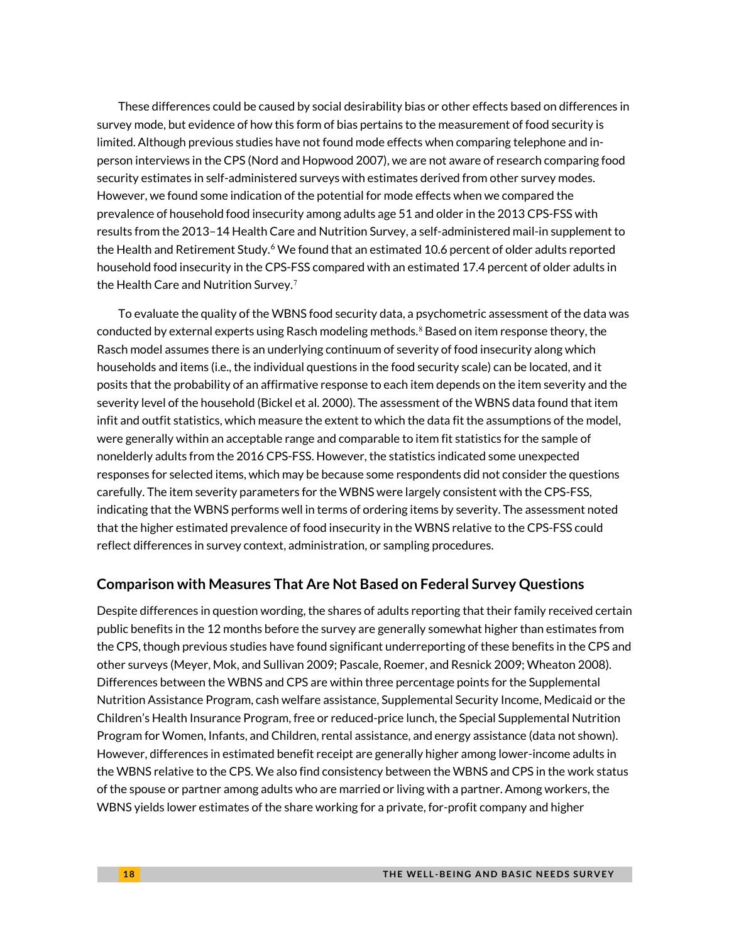These differences could be caused by social desirability bias or other effects based on differences in survey mode, but evidence of how this form of bias pertains to the measurement of food security is limited. Although previous studies have not found mode effects when comparing telephone and inperson interviews in the CPS (Nord and Hopwood 2007), we are not aware of research comparing food security estimates in self-administered surveys with estimates derived from other survey modes. However, we found some indication of the potential for mode effects when we compared the prevalence of household food insecurity among adults age 51 and older in the 2013 CPS-FSS with results from the 2013–14 Health Care and Nutrition Survey, a self-administered mail-in supplement to the Health and Retirement Study.<sup>6</sup> We found that an estimated 10[.6](#page-19-0) percent of older adults reported household food insecurity in the CPS-FSS compared with an estimated 17.4 percent of older adults in the Health Care and Nutrition Survey. [7](#page-19-1)

To evaluate the quality of the WBNS food security data, a psychometric assessment of the data was conducted by external experts using Rasch modeling methods.<sup>[8](#page-19-2)</sup> Based on item response theory, the Rasch model assumes there is an underlying continuum of severity of food insecurity along which households and items (i.e., the individual questions in the food security scale) can be located, and it posits that the probability of an affirmative response to each item depends on the item severity and the severity level of the household (Bickel et al. 2000). The assessment of the WBNS data found that item infit and outfit statistics, which measure the extent to which the data fit the assumptions of the model, were generally within an acceptable range and comparable to item fit statistics for the sample of nonelderly adults from the 2016 CPS-FSS. However, the statistics indicated some unexpected responses for selected items, which may be because some respondents did not consider the questions carefully. The item severity parameters for the WBNS were largely consistent with the CPS-FSS, indicating that the WBNS performs well in terms of ordering items by severity. The assessment noted that the higher estimated prevalence of food insecurity in the WBNS relative to the CPS-FSS could reflect differences in survey context, administration, or sampling procedures.

### **Comparison with Measures That Are Not Based on Federal Survey Questions**

Despite differences in question wording, the shares of adults reporting that their family received certain public benefits in the 12 months before the survey are generally somewhat higher than estimates from the CPS, though previous studies have found significant underreporting of these benefits in the CPS and other surveys (Meyer, Mok, and Sullivan 2009; Pascale, Roemer, and Resnick 2009; Wheaton 2008). Differences between the WBNS and CPS are within three percentage points for the Supplemental Nutrition Assistance Program, cash welfare assistance, Supplemental Security Income, Medicaid or the Children's Health Insurance Program, free or reduced-price lunch, the Special Supplemental Nutrition Program for Women, Infants, and Children, rental assistance, and energy assistance (data not shown). However, differences in estimated benefit receipt are generally higher among lower-income adults in the WBNS relative to the CPS. We also find consistency between the WBNS and CPS in the work status of the spouse or partner among adults who are married or living with a partner. Among workers, the WBNS yields lower estimates of the share working for a private, for-profit company and higher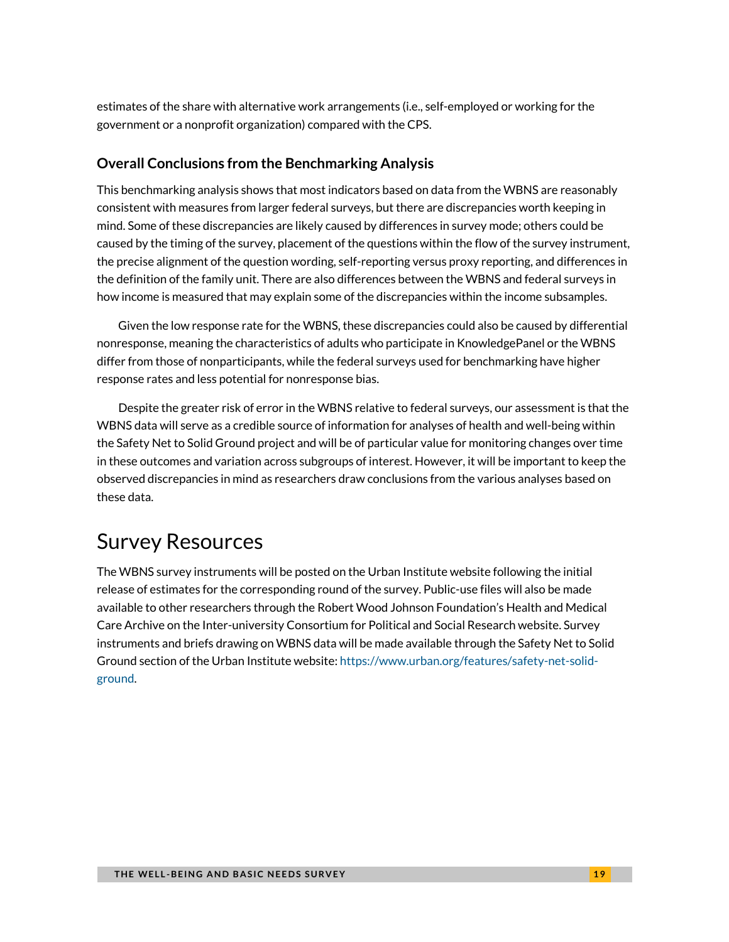estimates of the share with alternative work arrangements (i.e., self-employed or working for the government or a nonprofit organization) compared with the CPS.

## **Overall Conclusions from the Benchmarking Analysis**

This benchmarking analysis shows that most indicators based on data from the WBNS are reasonably consistent with measures from larger federal surveys, but there are discrepancies worth keeping in mind. Some of these discrepancies are likely caused by differences in survey mode; others could be caused by the timing of the survey, placement of the questions within the flow of the survey instrument, the precise alignment of the question wording, self-reporting versus proxy reporting, and differences in the definition of the family unit. There are also differences between the WBNS and federal surveys in how income is measured that may explain some of the discrepancies within the income subsamples.

Given the low response rate for the WBNS, these discrepancies could also be caused by differential nonresponse, meaning the characteristics of adults who participate in KnowledgePanel or the WBNS differ from those of nonparticipants, while the federal surveys used for benchmarking have higher response rates and less potential for nonresponse bias.

Despite the greater risk of error in the WBNS relative to federal surveys, our assessment is that the WBNS data will serve as a credible source of information for analyses of health and well-being within the Safety Net to Solid Ground project and will be of particular value for monitoring changes over time in these outcomes and variation across subgroups of interest. However, it will be important to keep the observed discrepancies in mind as researchers draw conclusions from the various analyses based on these data.

# Survey Resources

The WBNS survey instruments will be posted on the Urban Institute website following the initial release of estimates for the corresponding round of the survey. Public-use files will also be made available to other researchers through the Robert Wood Johnson Foundation's Health and Medical Care Archive on the Inter-university Consortium for Political and Social Research website. Survey instruments and briefs drawing on WBNS data will be made available through the Safety Net to Solid Ground section of the Urban Institute website: [https://www.urban.org/features/safety-net-solid](https://www.urban.org/features/safety-net-solid-ground)[ground.](https://www.urban.org/features/safety-net-solid-ground)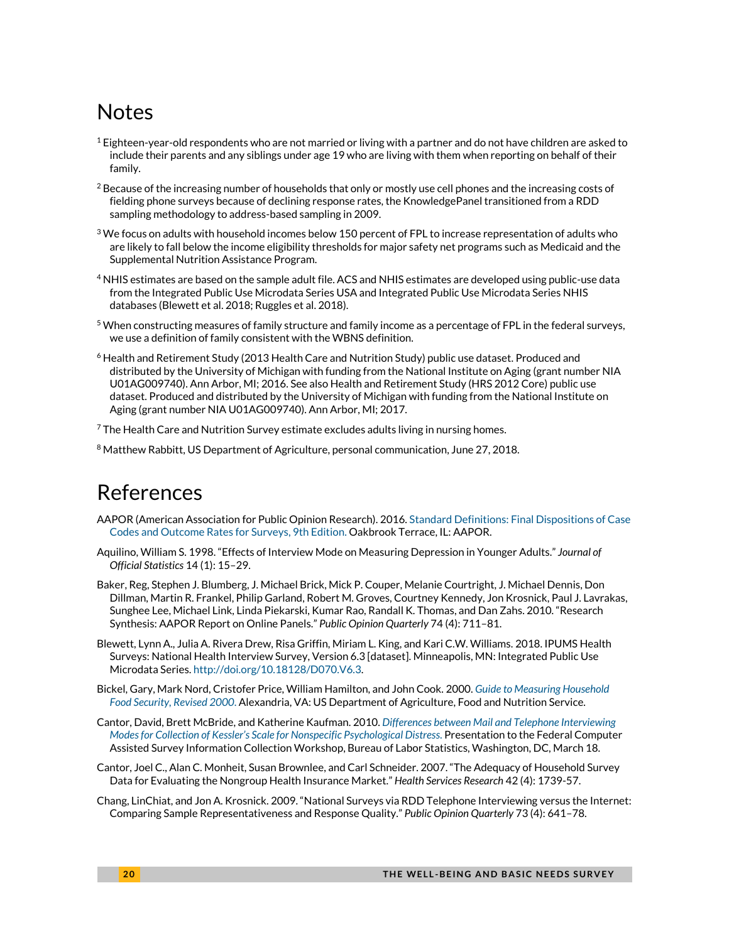# Notes

- $^1$  Eighteen-year-old respondents who are not married or living with a partner and do not have children are asked to include their parents and any siblings under age 19 who are living with them when reporting on behalf of their family.
- $2$  Because of the increasing number of households that only or mostly use cell phones and the increasing costs of fielding phone surveys because of declining response rates, the KnowledgePanel transitioned from a RDD sampling methodology to address-based sampling in 2009.
- $3$  We focus on adults with household incomes below 150 percent of FPL to increase representation of adults who are likely to fall below the income eligibility thresholds for major safety net programs such as Medicaid and the Supplemental Nutrition Assistance Program.
- 4 NHIS estimates are based on the sample adult file. ACS and NHIS estimates are developed using public-use data from the Integrated Public Use Microdata Series USA and Integrated Public Use Microdata Series NHIS databases (Blewett et al. 2018; Ruggles et al. 2018).
- $^5$  When constructing measures of family structure and family income as a percentage of FPL in the federal surveys, we use a definition of family consistent with the WBNS definition.
- <span id="page-19-0"></span><sup>6</sup> Health and Retirement Study (2013 Health Care and Nutrition Study) public use dataset. Produced and distributed by the University of Michigan with funding from the National Institute on Aging (grant number NIA U01AG009740). Ann Arbor, MI; 2016. See also Health and Retirement Study (HRS 2012 Core) public use dataset. Produced and distributed by the University of Michigan with funding from the National Institute on Aging (grant number NIA U01AG009740). Ann Arbor, MI; 2017.

<span id="page-19-1"></span> $7$  The Health Care and Nutrition Survey estimate excludes adults living in nursing homes.

<span id="page-19-2"></span><sup>8</sup> Matthew Rabbitt, US Department of Agriculture, personal communication, June 27, 2018.

# References

- AAPOR (American Association for Public Opinion Research). 2016. Standard Definitions: [Final Dispositions of Case](https://www.aapor.org/AAPOR_Main/media/publications/Standard-Definitions20169theditionfinal.pdf)  [Codes and Outcome Rates for Surveys, 9th Edition.](https://www.aapor.org/AAPOR_Main/media/publications/Standard-Definitions20169theditionfinal.pdf) Oakbrook Terrace, IL: AAPOR.
- Aquilino, William S. 1998. "Effects of Interview Mode on Measuring Depression in Younger Adults." *Journal of Official Statistics* 14 (1): 15–29.
- Baker, Reg, Stephen J. Blumberg, J. Michael Brick, Mick P. Couper, Melanie Courtright, J. Michael Dennis, Don Dillman, Martin R. Frankel, Philip Garland, Robert M. Groves, Courtney Kennedy, Jon Krosnick, Paul J. Lavrakas, Sunghee Lee, Michael Link, Linda Piekarski, Kumar Rao, Randall K. Thomas, and Dan Zahs. 2010. "Research Synthesis: AAPOR Report on Online Panels." *Public Opinion Quarterly* 74 (4): 711–81.
- Blewett, Lynn A., Julia A. Rivera Drew, Risa Griffin, Miriam L. King, and Kari C.W. Williams. 2018. IPUMS Health Surveys: National Health Interview Survey, Version 6.3 [dataset]. Minneapolis, MN: Integrated Public Use Microdata Series[. http://doi.org/10.18128/D070.V6.3.](http://doi.org/10.18128/D070.V6.3)
- Bickel, Gary, Mark Nord, Cristofer Price, William Hamilton, and John Cook. 2000. *[Guide to Measuring Household](https://www.fns.usda.gov/guide-measuring-household-food-security-revised-2000)  [Food Security,](https://www.fns.usda.gov/guide-measuring-household-food-security-revised-2000) Revised 2000*. Alexandria, VA: US Department of Agriculture, Food and Nutrition Service.
- Cantor, David, Brett McBride, and Katherine Kaufman. 2010. *[Differences between Mail and Telephone Interviewing](https://www.census.gov/fedcasic/fc2010/ppt/09_cantor.pdf)  [Modes for Collection of Kessler's Scale for Nonspecific Psychological Distress](https://www.census.gov/fedcasic/fc2010/ppt/09_cantor.pdf)*. Presentation to the Federal Computer Assisted Survey Information Collection Workshop, Bureau of Labor Statistics, Washington, DC, March 18.
- Cantor, Joel C., Alan C. Monheit, Susan Brownlee, and Carl Schneider. 2007. "The Adequacy of Household Survey Data for Evaluating the Nongroup Health Insurance Market." *Health Services Research* 42 (4): 1739-57.
- Chang, LinChiat, and Jon A. Krosnick. 2009. "National Surveys via RDD Telephone Interviewing versus the Internet: Comparing Sample Representativeness and Response Quality." *Public Opinion Quarterly* 73 (4): 641–78.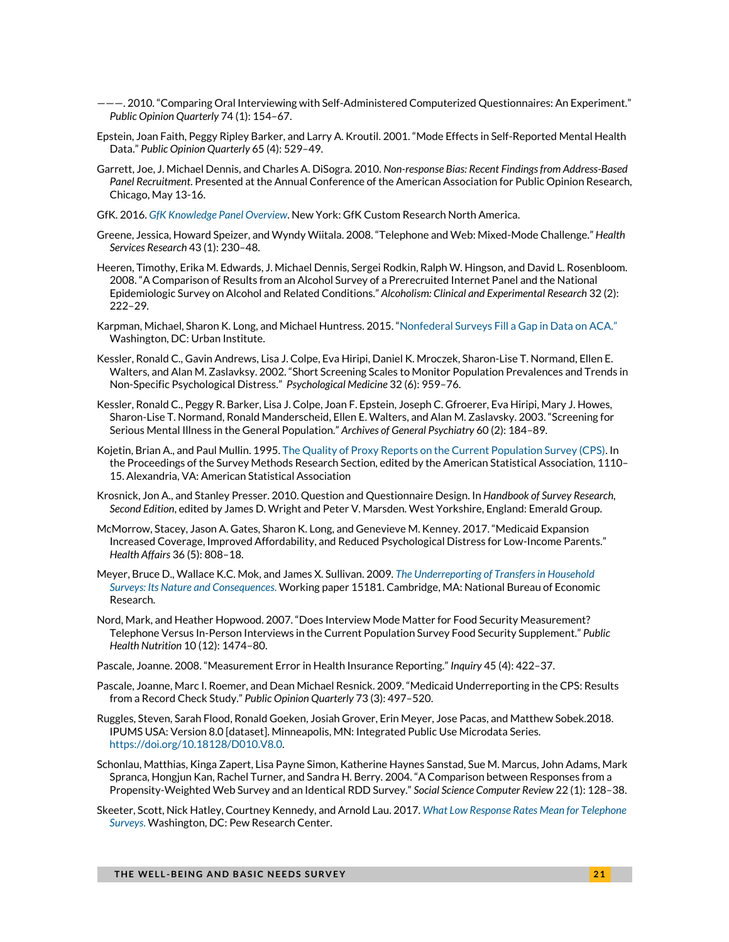- ———. 2010. "Comparing Oral Interviewing with Self-Administered Computerized Questionnaires: An Experiment." *Public Opinion Quarterly* 74 (1): 154–67.
- Epstein, Joan Faith, Peggy Ripley Barker, and Larry A. Kroutil. 2001. "Mode Effects in Self-Reported Mental Health Data." *Public Opinion Quarterly* 65 (4): 529–49.
- Garrett, Joe, J. Michael Dennis, and Charles A. DiSogra. 2010. *Non-response Bias: Recent Findings from Address-Based Panel Recruitment*. Presented at the Annual Conference of the American Association for Public Opinion Research, Chicago, May 13-16.
- GfK. 2016. *[GfK Knowledge Panel Overview](http://www.gfk.com/fileadmin/user_upload/dyna_content/US/documents/GfK_KnowledgePanel_Overview.pdf)*. New York: GfK Custom Research North America.
- Greene, Jessica, Howard Speizer, and Wyndy Wiitala. 2008. "Telephone and Web: Mixed-Mode Challenge." *Health Services Research* 43 (1): 230–48.
- Heeren, Timothy, Erika M. Edwards, J. Michael Dennis, Sergei Rodkin, Ralph W. Hingson, and David L. Rosenbloom. 2008. "A Comparison of Results from an Alcohol Survey of a Prerecruited Internet Panel and the National Epidemiologic Survey on Alcohol and Related Conditions." *Alcoholism: Clinical and Experimental Research* 32 (2): 222–29.
- Karpman, Michael, Sharon K. Long, and Michael Huntress. 2015. ["Nonfederal Surveys Fill a Gap in Data on ACA."](https://www.urban.org/research/publication/nonfederal-surveys-fill-gap-data-aca) Washington, DC: Urban Institute.
- Kessler, Ronald C., Gavin Andrews, Lisa J. Colpe, Eva Hiripi, Daniel K. Mroczek, Sharon-Lise T. Normand, Ellen E. Walters, and Alan M. Zaslavksy. 2002. "Short Screening Scales to Monitor Population Prevalences and Trends in Non-Specific Psychological Distress." *Psychological Medicine* 32 (6): 959–76.
- Kessler, Ronald C., Peggy R. Barker, Lisa J. Colpe, Joan F. Epstein, Joseph C. Gfroerer, Eva Hiripi, Mary J. Howes, Sharon-Lise T. Normand, Ronald Manderscheid, Ellen E. Walters, and Alan M. Zaslavsky. 2003. "Screening for Serious Mental Illness in the General Population." *Archives of General Psychiatry* 60 (2): 184–89.
- Kojetin, Brian A., and Paul Mullin. 1995[. The Quality of Proxy Reports on the Current Population Survey \(CPS\).](http://ww2.amstat.org/sections/srms/proceedings/papers/1995_193.pdf) In the Proceedings of the Survey Methods Research Section, edited by the American Statistical Association, 1110– 15. Alexandria, VA: American Statistical Association
- Krosnick, Jon A., and Stanley Presser. 2010. Question and Questionnaire Design. In *Handbook of Survey Research, Second Edition*, edited by James D. Wright and Peter V. Marsden. West Yorkshire, England: Emerald Group.
- McMorrow, Stacey, Jason A. Gates, Sharon K. Long, and Genevieve M. Kenney. 2017. "Medicaid Expansion Increased Coverage, Improved Affordability, and Reduced Psychological Distress for Low-Income Parents." *Health Affairs* 36 (5): 808–18.
- Meyer, Bruce D., Wallace K.C. Mok, and James X. Sullivan. 2009. *[The Underreporting of Transfers in Household](http://www.nber.org/papers/w15181)  [Surveys: Its Nature and Consequences](http://www.nber.org/papers/w15181)*. Working paper 15181. Cambridge, MA: National Bureau of Economic Research.
- Nord, Mark, and Heather Hopwood. 2007. "Does Interview Mode Matter for Food Security Measurement? Telephone Versus In-Person Interviews in the Current Population Survey Food Security Supplement." *Public Health Nutrition* 10 (12): 1474–80.
- Pascale, Joanne. 2008. "Measurement Error in Health Insurance Reporting." *Inquiry* 45 (4): 422–37.
- Pascale, Joanne, Marc I. Roemer, and Dean Michael Resnick. 2009. "Medicaid Underreporting in the CPS: Results from a Record Check Study." *Public Opinion Quarterly* 73 (3): 497–520.
- Ruggles, Steven, Sarah Flood, Ronald Goeken, Josiah Grover, Erin Meyer, Jose Pacas, and Matthew Sobek.2018. IPUMS USA: Version 8.0 [dataset]. Minneapolis, MN: Integrated Public Use Microdata Series. [https://doi.org/10.18128/D010.V8.0.](https://doi.org/10.18128/D010.V8.0)
- Schonlau, Matthias, Kinga Zapert, Lisa Payne Simon, Katherine Haynes Sanstad, Sue M. Marcus, John Adams, Mark Spranca, Hongjun Kan, Rachel Turner, and Sandra H. Berry. 2004. "A Comparison between Responses from a Propensity-Weighted Web Survey and an Identical RDD Survey." *Social Science Computer Review* 22 (1): 128–38.
- Skeeter, Scott, Nick Hatley, Courtney Kennedy, and Arnold Lau. 2017. *[What Low Response Rates Mean for Telephone](http://www.pewresearch.org/2017/05/15/what-low-response-rates-mean-for-telephone-surveys/)  [Surveys](http://www.pewresearch.org/2017/05/15/what-low-response-rates-mean-for-telephone-surveys/)*. Washington, DC: Pew Research Center.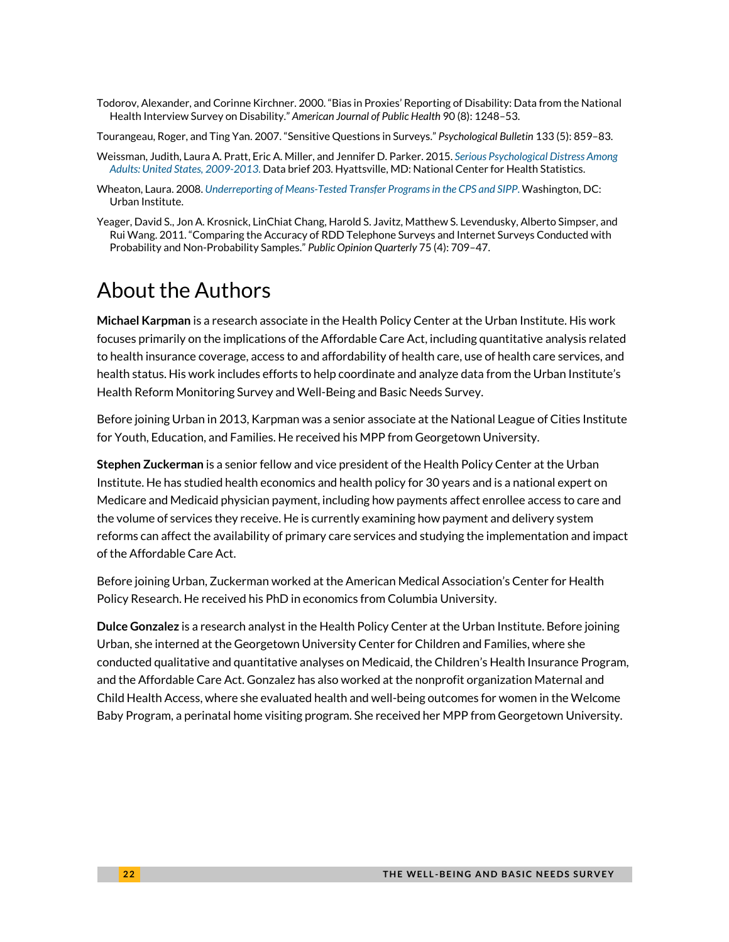Todorov, Alexander, and Corinne Kirchner. 2000. "Bias in Proxies' Reporting of Disability: Data from the National Health Interview Survey on Disability." *American Journal of Public Health* 90 (8): 1248–53.

Tourangeau, Roger, and Ting Yan. 2007. "Sensitive Questions in Surveys." *Psychological Bulletin* 133 (5): 859–83.

- Weissman, Judith, Laura A. Pratt, Eric A. Miller, and Jennifer D. Parker. 2015. *[Serious Psychological Distress Among](https://www.cdc.gov/nchs/data/databriefs/db203.pdf)  [Adults: United States, 2009-2013](https://www.cdc.gov/nchs/data/databriefs/db203.pdf)*. Data brief 203. Hyattsville, MD: National Center for Health Statistics.
- Wheaton, Laura. 2008. *[Underreporting of Means-Tested Transfer Programs in the CPS and SIPP](https://www.urban.org/research/publication/underreporting-means-tested-transfer-programs-cps-and-sipp)*. Washington, DC: Urban Institute.
- Yeager, David S., Jon A. Krosnick, LinChiat Chang, Harold S. Javitz, Matthew S. Levendusky, Alberto Simpser, and Rui Wang. 2011. "Comparing the Accuracy of RDD Telephone Surveys and Internet Surveys Conducted with Probability and Non-Probability Samples." *Public Opinion Quarterly* 75 (4): 709–47.

# About the Authors

**Michael Karpman** is a research associate in the Health Policy Center at the Urban Institute. His work focuses primarily on the implications of the Affordable Care Act, including quantitative analysis related to health insurance coverage, access to and affordability of health care, use of health care services, and health status. His work includes efforts to help coordinate and analyze data from the Urban Institute's Health Reform Monitoring Survey and Well-Being and Basic Needs Survey.

Before joining Urban in 2013, Karpman was a senior associate at the National League of Cities Institute for Youth, Education, and Families. He received his MPP from Georgetown University.

**Stephen Zuckerman** is a senior fellow and vice president of the Health Policy Center at the Urban Institute. He has studied health economics and health policy for 30 years and is a national expert on Medicare and Medicaid physician payment, including how payments affect enrollee access to care and the volume of services they receive. He is currently examining how payment and delivery system reforms can affect the availability of primary care services and studying the implementation and impact of the Affordable Care Act.

Before joining Urban, Zuckerman worked at the American Medical Association's Center for Health Policy Research. He received his PhD in economics from Columbia University.

**Dulce Gonzalez** is a research analyst in the Health Policy Center at the Urban Institute. Before joining Urban, she interned at the Georgetown University Center for Children and Families, where she conducted qualitative and quantitative analyses on Medicaid, the Children's Health Insurance Program, and the Affordable Care Act. Gonzalez has also worked at the nonprofit organization Maternal and Child Health Access, where she evaluated health and well-being outcomes for women in the Welcome Baby Program, a perinatal home visiting program. She received her MPP from Georgetown University.